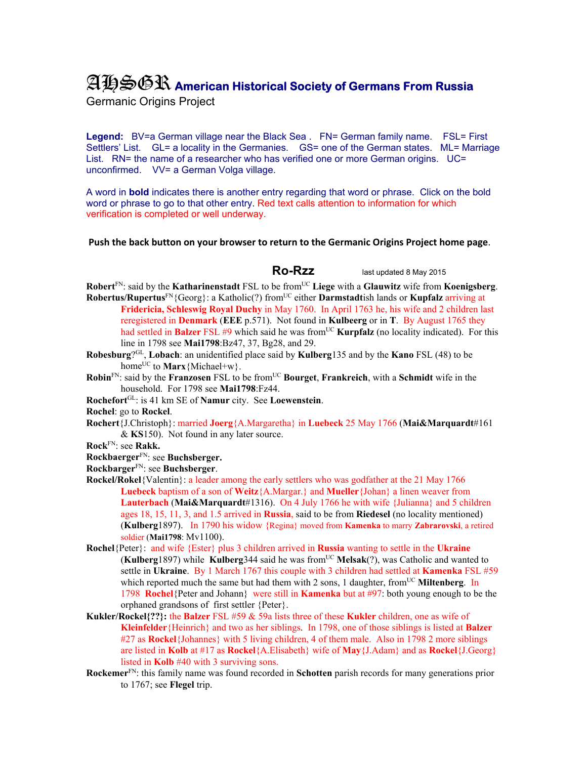## AHSGR **American Historical Society of Germans From Russia**

Germanic Origins Project

**Legend:** BV=a German village near the Black Sea . FN= German family name. FSL= First Settlers' List. GL= a locality in the Germanies. GS= one of the German states. ML= Marriage List. RN= the name of a researcher who has verified one or more German origins. UC= unconfirmed. VV= a German Volga village.

A word in **bold** indicates there is another entry regarding that word or phrase. Click on the bold word or phrase to go to that other entry. Red text calls attention to information for which verification is completed or well underway.

## **Push the back button on your browser to return to the Germanic Origins Project home page**.

 **Ro-Rzz** last updated 8 May 2015

- **Robert**FN: said by the **Katharinenstadt** FSL to be fromUC **Liege** with a **Glauwitz** wife from **Koenigsberg**. **Robertus/Rupertus<sup>FN</sup>{Georg}: a Katholic(?) from<sup>UC</sup> either <b>Darmstadt**ish lands or **Kupfalz** arriving at
	- **Fridericia, Schleswig Royal Duchy** in May 1760. In April 1763 he, his wife and 2 children last reregistered in **Denmark** (**EEE** p.571). Not found in **Kulbeerg** or in **T**. By August 1765 they had settled in **Balzer** FSL #9 which said he was from<sup>UC</sup> **Kurpfalz** (no locality indicated). For this line in 1798 see **Mai1798**:Bz47, 37, Bg28, and 29.
- **Robesburg**?GL, **Lobach**: an unidentified place said by **Kulberg**135 and by the **Kano** FSL (48) to be home<sup>UC</sup> to **Marx** ${Michael+w}$ .
- **Robin**<sup>FN</sup>: said by the **Franzosen** FSL to be from<sup>UC</sup> **Bourget**, **Frankreich**, with a **Schmidt** wife in the household. For 1798 see **Mai1798**:Fz44.
- **Rochefort**GL: is 41 km SE of **Namur** city. See **Loewenstein**.
- **Rochel**: go to **Rockel**.
- **Rochert**{J.Christoph}: married **Joerg**{A.Margaretha} in **Luebeck** 25 May 1766 (**Mai&Marquardt**#161 & **KS**150). Not found in any later source.
- **Rock**FN: see **Rakk.**
- **Rockbaerger**FN: see **Buchsberger.**
- **Rockbarger**FN: see **Buchsberger**.
- **Rockel/Rokel**{Valentin}: a leader among the early settlers who was godfather at the 21 May 1766 **Luebeck** baptism of a son of **Weitz**{A.Margar.} and **Mueller**{Johan} a linen weaver from **Lauterbach** (**Mai&Marquardt**#1316). On 4 July 1766 he with wife {Julianna} and 5 children ages 18, 15, 11, 3, and 1.5 arrived in **Russia**, said to be from **Riedesel** (no locality mentioned) (**Kulberg**1897). In 1790 his widow {Regina} moved from **Kamenka** to marry **Zabrarovski**, a retired soldier (**Mai1798**: Mv1100).
- **Rochel**{Peter}: and wife {Ester} plus 3 children arrived in **Russia** wanting to settle in the **Ukraine** (**Kulberg**1897) while **Kulberg**344 said he was fromUC **Melsak**(?), was Catholic and wanted to settle in **Ukraine**. By 1 March 1767 this couple with 3 children had settled at **Kamenka** FSL #59 which reported much the same but had them with 2 sons, 1 daughter, from<sup>UC</sup> Miltenberg. In 1798 **Rochel**{Peter and Johann} were still in **Kamenka** but at #97: both young enough to be the orphaned grandsons of first settler {Peter}.
- **Kukler/Rockel{??}:** the **Balzer** FSL #59 & 59a lists three of these **Kukler** children, one as wife of **Kleinfelder**{Heinrich} and two as her siblings. In 1798, one of those siblings is listed at **Balzer** #27 as **Rockel**{Johannes} with 5 living children, 4 of them male. Also in 1798 2 more siblings are listed in **Kolb** at #17 as **Rockel**{A.Elisabeth} wife of **May**{J.Adam} and as **Rockel**{J.Georg} listed in **Kolb** #40 with 3 surviving sons.
- **Rockemer**FN: this family name was found recorded in **Schotten** parish records for many generations prior to 1767; see **Flegel** trip.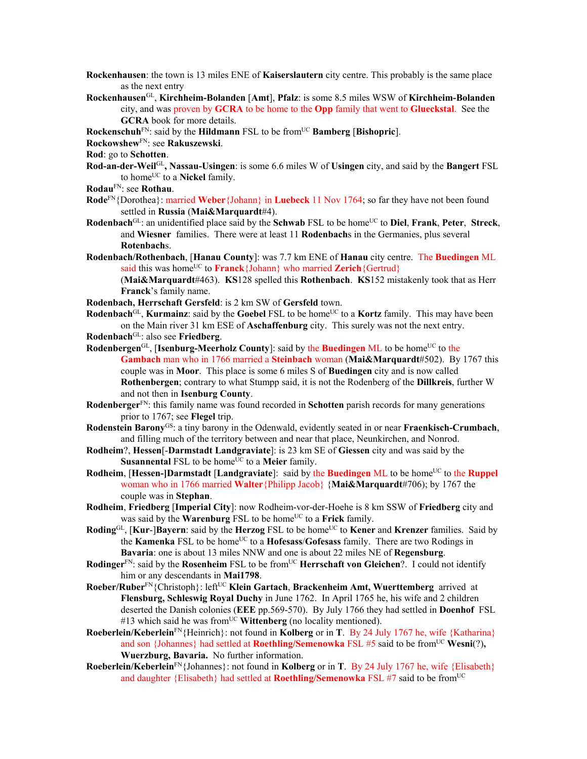- **Rockenhausen**: the town is 13 miles ENE of **Kaiserslautern** city centre. This probably is the same place as the next entry
- **Rockenhausen**GL, **Kirchheim-Bolanden** [**Amt**], **Pfalz**: is some 8.5 miles WSW of **Kirchheim-Bolanden** city, and was proven by **GCRA** to be home to the **Opp** family that went to **Glueckstal**. See the **GCRA** book for more details.
- **Rockenschuh**FN: said by the **Hildmann** FSL to be fromUC **Bamberg** [**Bishopric**].
- **Rockowshew**FN: see **Rakuszewski**.
- **Rod**: go to **Schotten**.
- **Rod-an-der-Weil**GL**, Nassau-Usingen**: is some 6.6 miles W of **Usingen** city, and said by the **Bangert** FSL to home<sup>UC</sup> to a **Nickel** family.
- **Rodau**FN: see **Rothau**.
- **Rode**FN{Dorothea}: married **Weber**{Johann} in **Luebeck** 11 Nov 1764; so far they have not been found settled in **Russia** (**Mai&Marquardt**#4).
- **Rodenbach**GL: an unidentified place said by the **Schwab** FSL to be homeUC to **Diel**, **Frank**, **Peter**, **Streck**, and **Wiesner** families. There were at least 11 **Rodenbach**s in the Germanies, plus several **Rotenbach**s.
- **Rodenbach/Rothenbach**, [**Hanau County**]: was 7.7 km ENE of **Hanau** city centre. The **Buedingen** ML said this was home<sup>UC</sup> to **Franck**{Johann} who married **Zerich**{Gertrud} (**Mai&Marquardt**#463). **KS**128 spelled this **Rothenbach**. **KS**152 mistakenly took that as Herr
	- **Franck**'s family name.
- **Rodenbach, Herrschaft Gersfeld**: is 2 km SW of **Gersfeld** town.

**Rodenbach**<sup>GL</sup>, **Kurmainz**: said by the **Goebel** FSL to be home<sup>UC</sup> to a **Kortz** family. This may have been on the Main river 31 km ESE of **Aschaffenburg** city. This surely was not the next entry.

- **Rodenbach**GL: also see **Friedberg**.
- **Rodenbergen**GL, [Isenburg-Meerholz County]: said by the Buedingen ML to be home<sup>UC</sup> to the **Gambach** man who in 1766 married a **Steinbach** woman (**Mai&Marquardt**#502). By 1767 this couple was in **Moor**. This place is some 6 miles S of **Buedingen** city and is now called **Rothenbergen**; contrary to what Stumpp said, it is not the Rodenberg of the **Dillkreis**, further W and not then in **Isenburg County**.
- **Rodenberger**FN: this family name was found recorded in **Schotten** parish records for many generations prior to 1767; see **Flegel** trip.
- **Rodenstein Barony**GS: a tiny barony in the Odenwald, evidently seated in or near **Fraenkisch-Crumbach**, and filling much of the territory between and near that place, Neunkirchen, and Nonrod.
- **Rodheim**?, **Hessen**[-**Darmstadt Landgraviate**]: is 23 km SE of **Giessen** city and was said by the **Susannental** FSL to be home<sup>UC</sup> to a **Meier** family.
- **Rodheim**, [Hessen-]Darmstadt [Landgraviate]: said by the Buedingen ML to be home<sup>UC</sup> to the Ruppel woman who in 1766 married **Walter**{Philipp Jacob} {**Mai&Marquardt**#706); by 1767 the couple was in **Stephan**.
- **Rodheim**, **Friedberg** [**Imperial City**]: now Rodheim-vor-der-Hoehe is 8 km SSW of **Friedberg** city and was said by the **Warenburg** FSL to be home<sup>UC</sup> to a **Frick** family.
- **Roding**GL, [Kur-]Bayern: said by the Herzog FSL to be home<sup>UC</sup> to Kener and Krenzer families. Said by the **Kamenka** FSL to be home<sup>UC</sup> to a **Hofesass/Gofesass** family. There are two Rodings in **Bavaria**: one is about 13 miles NNW and one is about 22 miles NE of **Regensburg**.
- **Rodinger**<sup>FN</sup>: said by the **Rosenheim** FSL to be from<sup>UC</sup> **Herrschaft von Gleichen**?. I could not identify him or any descendants in **Mai1798**.
- **Roeber/Ruber**FN{Christoph}: leftUC **Klein Gartach**, **Brackenheim Amt, Wuerttemberg** arrived at **Flensburg, Schleswig Royal Duchy** in June 1762. In April 1765 he, his wife and 2 children deserted the Danish colonies (**EEE** pp.569-570). By July 1766 they had settled in **Doenhof** FSL #13 which said he was from<sup>UC</sup> Wittenberg (no locality mentioned).
- **Roeberlein/Keberlein**<sup>FN</sup>{Heinrich}: not found in **Kolberg** or in **T**. By 24 July 1767 he, wife {Katharina} and son {Johannes} had settled at **Roethling/Semenowka** FSL #5 said to be from<sup>UC</sup> **Wesni**(?), **Wuerzburg, Bavaria.** No further information.
- **Roeberlein/Keberlein**FN{Johannes}: not found in **Kolberg** or in **T**. By 24 July 1767 he, wife {Elisabeth} and daughter {Elisabeth} had settled at **Roethling/Semenowka** FSL #7 said to be fromUC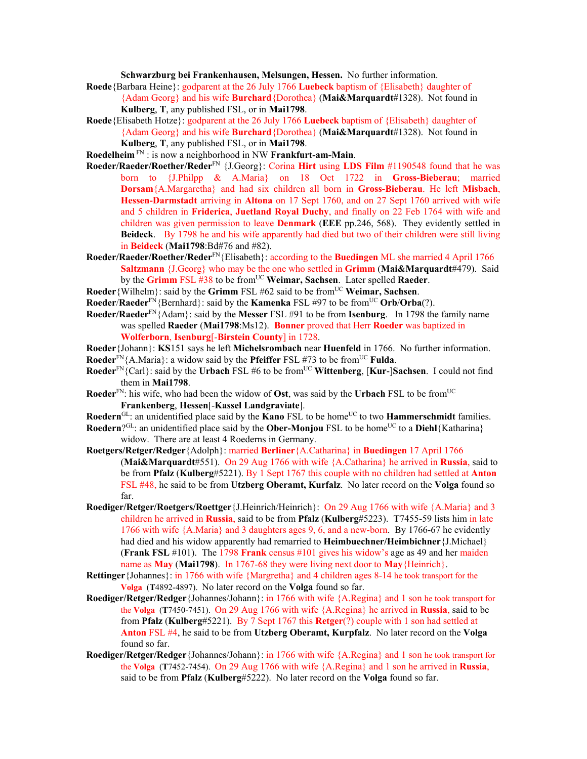**Schwarzburg bei Frankenhausen, Melsungen, Hessen.** No further information.

- **Roede**{Barbara Heine}: godparent at the 26 July 1766 **Luebeck** baptism of {Elisabeth} daughter of {Adam Georg} and his wife **Burchard**{Dorothea} (**Mai&Marquardt**#1328). Not found in **Kulberg**, **T**, any published FSL, or in **Mai1798**.
- **Roede**{Elisabeth Hotze}: godparent at the 26 July 1766 **Luebeck** baptism of {Elisabeth} daughter of {Adam Georg} and his wife **Burchard**{Dorothea} (**Mai&Marquardt**#1328). Not found in **Kulberg**, **T**, any published FSL, or in **Mai1798**.
- **Roedelheim** FN : is now a neighborhood in NW **Frankfurt-am-Main**.
- **Roeder/Raeder/Roether/Reder**FN {J.Georg}: Corina **Hirt** using **LDS Film** #1190548 found that he was born to {J.Philpp & A.Maria} on 18 Oct 1722 in **Gross-Bieberau**; married **Dorsam**{A.Margaretha} and had six children all born in **Gross-Bieberau**. He left **Misbach**, **Hessen-Darmstadt** arriving in **Altona** on 17 Sept 1760, and on 27 Sept 1760 arrived with wife and 5 children in **Friderica**, **Juetland Royal Duchy**, and finally on 22 Feb 1764 with wife and children was given permission to leave **Denmark** (**EEE** pp.246, 568). They evidently settled in **Beideck**. By 1798 he and his wife apparently had died but two of their children were still living in **Beideck** (**Mai1798**:Bd#76 and #82).
- **Roeder/Raeder/Roether/Reder**FN{Elisabeth}: according to the **Buedingen** ML she married 4 April 1766 **Saltzmann** {J.Georg} who may be the one who settled in **Grimm** (**Mai&Marquardt**#479). Said by the **Grimm** FSL #38 to be fromUC **Weimar, Sachsen**. Later spelled **Raeder**.
- **Roeder**{Wilhelm}: said by the **Grimm** FSL #62 said to be fromUC **Weimar, Sachsen**.
- **Roeder/Raeder**<sup>FN</sup>{Bernhard}: said by the **Kamenka** FSL #97 to be from<sup>UC</sup> Orb/Orba(?).
- **Roeder/Raeder**FN{Adam}: said by the **Messer** FSL #91 to be from **Isenburg**. In 1798 the family name was spelled **Raeder** (**Mai1798**:Ms12). **Bonner** proved that Herr **Roeder** was baptized in **Wolferborn**, **Isenburg**[-**Birstein County**] in 1728.
- **Roeder**{Johann}: **KS**151 says he left **Michelsrombach** near **Huenfeld** in 1766. No further information. **Roeder**<sup>FN</sup>{A.Maria}: a widow said by the **Pfeiffer** FSL #73 to be from<sup>UC</sup> **Fulda**.
- **Roeder**<sup>FN</sup>{Carl}: said by the **Urbach** FSL #6 to be from<sup>UC</sup> **Wittenberg**, [**Kur-**]Sachsen. I could not find them in **Mai1798**.
- **Roeder**FN: his wife, who had been the widow of **Ost**, was said by the **Urbach** FSL to be fromUC **Frankenberg**, **Hessen**[-**Kassel Landgraviate**].
- **Roedern**<sup>GL</sup>: an unidentified place said by the **Kano** FSL to be home<sup>UC</sup> to two **Hammerschmidt** families.
- **Roedern**?<sup>GL</sup>: an unidentified place said by the **Ober-Monjou** FSL to be home<sup>UC</sup> to a **Diehl**{Katharina} widow. There are at least 4 Roederns in Germany.
- **Roetgers/Retger/Redger**{Adolph}: married **Berliner**{A.Catharina} in **Buedingen** 17 April 1766 (**Mai&Marquardt**#551). On 29 Aug 1766 with wife {A.Catharina} he arrived in **Russia**, said to be from **Pfalz** (**Kulberg**#5221). By 1 Sept 1767 this couple with no children had settled at **Anton**  FSL #48, he said to be from **Utzberg Oberamt, Kurfalz**. No later record on the **Volga** found so far.
- **Roediger/Retger/Roetgers/Roettger**{J.Heinrich/Heinrich}: On 29 Aug 1766 with wife {A.Maria} and 3 children he arrived in **Russia**, said to be from **Pfalz** (**Kulberg**#5223). **T**7455-59 lists him in late 1766 with wife {A.Maria} and 3 daughters ages 9, 6, and a new-born. By 1766-67 he evidently had died and his widow apparently had remarried to **Heimbuechner/Heimbichner**{J.Michael} (**Frank FSL** #101). The 1798 **Frank** census #101 gives his widow's age as 49 and her maiden name as **May** (**Mai1798**). In 1767-68 they were living next door to **May**{Heinrich}.
- **Rettinger**{Johannes}: in 1766 with wife {Margretha} and 4 children ages 8-14 he took transport for the **Volga** (**T**4892-4897). No later record on the **Volga** found so far.
- **Roediger/Retger/Redger**{Johannes/Johann}: in 1766 with wife {A.Regina} and 1 son he took transport for the **Volga** (**T**7450-7451). On 29 Aug 1766 with wife {A.Regina} he arrived in **Russia**, said to be from **Pfalz** (**Kulberg**#5221). By 7 Sept 1767 this **Retger**(?) couple with 1 son had settled at **Anton** FSL #4, he said to be from **Utzberg Oberamt, Kurpfalz**. No later record on the **Volga** found so far.
- **Roediger/Retger/Redger**{Johannes/Johann}: in 1766 with wife {A.Regina} and 1 son he took transport for the **Volga** (**T**7452-7454). On 29 Aug 1766 with wife {A.Regina} and 1 son he arrived in **Russia**, said to be from **Pfalz** (**Kulberg**#5222). No later record on the **Volga** found so far.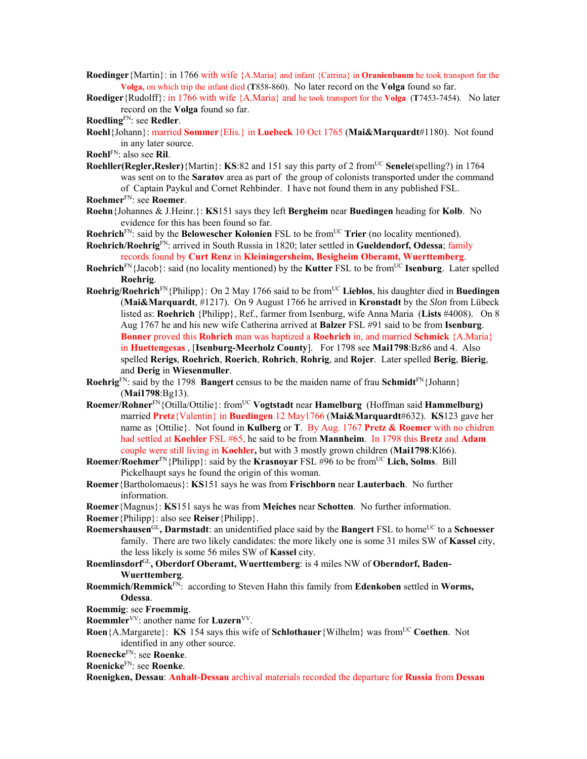- **Roedinger**{Martin}: in 1766 with wife {A.Maria} and infant {Catrina} in **Oranienbaum** he took transport for the **Volga,** on which trip the infant died (**T**858-860). No later record on the **Volga** found so far.
- **Roediger**{Rudolff}: in 1766 with wife {A.Maria} and he took transport for the **Volga** (**T**7453-7454). No later record on the **Volga** found so far.

```
RoedlingFN: see Redler.
```
**Roehl**{Johann}: married **Sommer**{Elis.} in **Luebeck** 10 Oct 1765 (**Mai&Marquardt**#1180). Not found in any later source.

- **Roehl**FN: also see **Ril**.
- **Roehller(Regler,Resler)**{Martin}: **KS**:82 and 151 say this party of 2 from<sup>UC</sup> **Senele**(spelling?) in 1764 was sent on to the **Saratov** area as part of the group of colonists transported under the command of Captain Paykul and Cornet Rehbinder. I have not found them in any published FSL. **Roehmer**FN: see **Roemer**.
- **Roehn**{Johannes & J.Heinr.}: **KS**151 says they left **Bergheim** near **Buedingen** heading for **Kolb**. No evidence for this has been found so far.
- **Roehrich**<sup>FN</sup>: said by the **Belowescher Kolonien** FSL to be from<sup>UC</sup> **Trier** (no locality mentioned).
- **Roehrich/Roehrig**FN: arrived in South Russia in 1820; later settled in **Gueldendorf, Odessa**; family records found by **Curt Renz** in **Kleiningersheim, Besigheim Oberamt, Wuerttemberg**.
- **Roehrich**<sup>FN</sup>{Jacob}: said (no locality mentioned) by the **Kutter** FSL to be from<sup>UC</sup> **Isenburg**. Later spelled **Roehrig**.
- **Roehrig/Roehrich**FN{Philipp}: On 2 May 1766 said to be fromUC **Lieblos**, his daughter died in **Buedingen** (**Mai&Marquardt**, #1217). On 9 August 1766 he arrived in **Kronstadt** by the *Slon* from Lübeck listed as: **Roehrich** {Philipp}, Ref., farmer from Isenburg, wife Anna Maria (**Lists** #4008). On 8 Aug 1767 he and his new wife Catherina arrived at **Balzer** FSL #91 said to be from **Isenburg**. **Bonner** proved this **Rohrich** man was baptized a **Roehrich** in, and married **Schmick** {A.Maria} in **Huettengesas** , [**Isenburg-Meerholz County**]. For 1798 see **Mai1798**:Bz86 and 4. Also spelled **Rerigs**, **Roehrich**, **Roerich**, **Rohrich**, **Rohrig**, and **Rojer**. Later spelled **Berig**, **Bierig**, and **Derig** in **Wiesenmuller**.
- **Roehrig**<sup>FN</sup>: said by the 1798 **Bangert** census to be the maiden name of frau **Schmidt**<sup>FN</sup>{Johann} (**Mai1798**:Bg13).
- **Roemer/Rohner**FN{Otilla/Ottilie}: fromUC **Vogtstadt** near **Hamelburg** (Hoffman said **Hammelburg)** married **Pretz**{Valentin} in **Buedingen** 12 May1766 (**Mai&Marquardt**#632). **KS**123 gave her name as {Ottilie}. Not found in **Kulberg** or **T**. By Aug. 1767 **Pretz & Roemer** with no chidren had settled at **Koehler** FSL #65, he said to be from **Mannheim**. In 1798 this **Bretz** and **Adam**  couple were still living in **Koehler,** but with 3 mostly grown children (**Mai1798**:Kl66).
- **Roemer/Roehmer**<sup>FN</sup>{Philipp}: said by the **Krasnoyar** FSL #96 to be from<sup>UC</sup> Lich, Solms. Bill Pickelhaupt says he found the origin of this woman.
- **Roemer**{Bartholomaeus}: **KS**151 says he was from **Frischborn** near **Lauterbach**. No further information.
- **Roemer**{Magnus}: **KS**151 says he was from **Meiches** near **Schotten**. No further information.
- **Roemer**{Philipp}: also see **Reiser**{Philipp}.
- **Roemershausen**<sup>GL</sup>, Darmstadt: an unidentified place said by the Bangert FSL to home<sup>UC</sup> to a Schoesser family. There are two likely candidates: the more likely one is some 31 miles SW of **Kassel** city, the less likely is some 56 miles SW of **Kassel** city.
- **Roemlinsdorf**GL**, Oberdorf Oberamt, Wuerttemberg**: is 4 miles NW of **Oberndorf, Baden-Wuerttemberg**.
- **Roemmich/Remmick**FN: according to Steven Hahn this family from **Edenkoben** settled in **Worms, Odessa**.
- **Roemmig**: see **Froemmig**.
- **Roemmler**<sup>VV</sup>: another name for **Luzern**<sup>VV</sup>.
- **Roen**{A.Margarete}: **KS** 154 says this wife of **Schlothauer**{Wilhelm} was from<sup>UC</sup> Coethen. Not identified in any other source.
- **Roenecke**FN: see **Roenke**.
- **Roenicke**FN: see **Roenke**.
- **Roenigken, Dessau**: **Anhalt-Dessau** archival materials recorded the departure for **Russia** from **Dessau**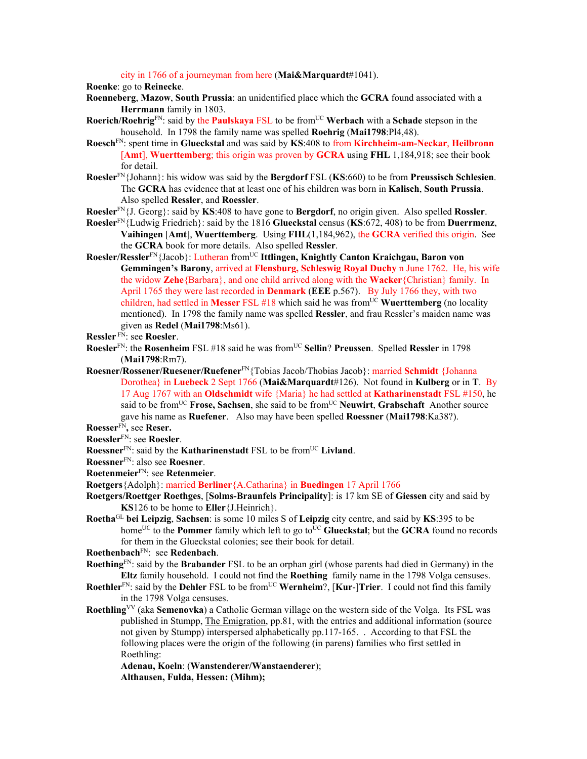city in 1766 of a journeyman from here (**Mai&Marquardt**#1041).

**Roenke**: go to **Reinecke**.

- **Roenneberg**, **Mazow**, **South Prussia**: an unidentified place which the **GCRA** found associated with a **Herrmann** family in 1803.
- **Roerich/Roehrig**FN: said by the **Paulskaya** FSL to be fromUC **Werbach** with a **Schade** stepson in the household. In 1798 the family name was spelled **Roehrig** (**Mai1798**:Pl4,48).
- **Roesch**FN: spent time in **Glueckstal** and was said by **KS**:408 to from **Kirchheim-am-Neckar**, **Heilbronn** [**Amt**], **Wuerttemberg**; this origin was proven by **GCRA** using **FHL** 1,184,918; see their book for detail.
- **Roesler**FN{Johann}: his widow was said by the **Bergdorf** FSL (**KS**:660) to be from **Preussisch Schlesien**. The **GCRA** has evidence that at least one of his children was born in **Kalisch**, **South Prussia**. Also spelled **Ressler**, and **Roessler**.
- **Roesler**FN{J. Georg}: said by **KS**:408 to have gone to **Bergdorf**, no origin given. Also spelled **Rossler**.
- **Roesler**FN{Ludwig Friedrich}: said by the 1816 **Glueckstal** census (**KS**:672, 408) to be from **Duerrmenz**, **Vaihingen** [**Amt**], **Wuerttemberg**. Using **FHL**(1,184,962), the **GCRA** verified this origin. See the **GCRA** book for more details. Also spelled **Ressler**.
- **Roesler/Ressler**FN{Jacob}: Lutheran fromUC **Ittlingen, Knightly Canton Kraichgau, Baron von Gemmingen's Barony**, arrived at **Flensburg, Schleswig Royal Duchy** n June 1762. He, his wife the widow **Zehe**{Barbara}, and one child arrived along with the **Wacker**{Christian} family. In April 1765 they were last recorded in **Denmark** (**EEE** p.567). By July 1766 they, with two children, had settled in **Messer** FSL #18 which said he was fromUC **Wuerttemberg** (no locality mentioned). In 1798 the family name was spelled **Ressler**, and frau Ressler's maiden name was given as **Redel** (**Mai1798**:Ms61).
- **Ressler** FN: see **Roesler**.
- **Roesler**FN: the **Rosenheim** FSL #18 said he was fromUC **Sellin**? **Preussen**. Spelled **Ressler** in 1798 (**Mai1798**:Rm7).
- **Roesner/Rossener/Ruesener/Ruefener**FN{Tobias Jacob/Thobias Jacob}: married **Schmidt** {Johanna Dorothea} in **Luebeck** 2 Sept 1766 (**Mai&Marquardt**#126). Not found in **Kulberg** or in **T**. By 17 Aug 1767 with an **Oldschmidt** wife {Maria} he had settled at **Katharinenstadt** FSL #150, he said to be from<sup>UC</sup> **Frose, Sachsen**, she said to be from<sup>UC</sup> **Neuwirt**, Grabschaft Another source gave his name as **Ruefener**. Also may have been spelled **Roessner** (**Mai1798**:Ka38?).

**Roesser**FN**,** see **Reser.** 

- **Roessner**<sup>FN</sup>: said by the **Katharinenstadt** FSL to be from<sup>UC</sup> Livland.
- **Roessner**FN: also see **Roesner**.
- **Roetenmeier**FN: see **Retenmeier**.
- **Roetgers**{Adolph}: married **Berliner**{A.Catharina} in **Buedingen** 17 April 1766
- **Roetgers/Roettger Roethges**, [**Solms-Braunfels Principality**]: is 17 km SE of **Giessen** city and said by **KS**126 to be home to **Eller**{J.Heinrich}.
- **Roetha**GL **bei Leipzig**, **Sachsen**: is some 10 miles S of **Leipzig** city centre, and said by **KS**:395 to be home<sup>UC</sup> to the **Pommer** family which left to go to<sup>UC</sup> Glueckstal; but the **GCRA** found no records for them in the Glueckstal colonies; see their book for detail.
- **Roethenbach**FN: see **Redenbach**.
- **Roething**FN: said by the **Brabander** FSL to be an orphan girl (whose parents had died in Germany) in the **Eltz** family household. I could not find the **Roething** family name in the 1798 Volga censuses.
- **Roethler**<sup>FN</sup>: said by the **Dehler** FSL to be from<sup>UC</sup> **Wernheim**?, [**Kur-**]Trier. I could not find this family in the 1798 Volga censuses.
- **Roethling**<sup>VV</sup> (aka **Semenovka**) a Catholic German village on the western side of the Volga. Its FSL was published in Stumpp, The Emigration, pp.81, with the entries and additional information (source not given by Stumpp) interspersed alphabetically pp.117-165. . According to that FSL the following places were the origin of the following (in parens) families who first settled in Roethling:
	- **Adenau, Koeln**: (**Wanstenderer/Wanstaenderer**); **Althausen, Fulda, Hessen: (Mihm);**

**Roessler**FN: see **Roesler**.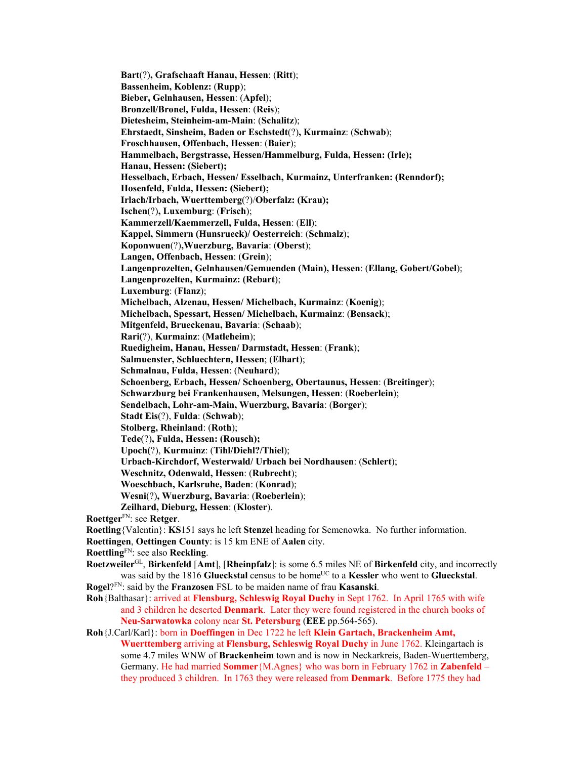**Bart**(?)**, Grafschaaft Hanau, Hessen**: (**Ritt**); **Bassenheim, Koblenz:** (**Rupp**); **Bieber, Gelnhausen, Hessen**: (**Apfel**); **Bronzell/Bronel, Fulda, Hessen**: (**Reis**); **Dietesheim, Steinheim-am-Main**: (**Schalitz**); **Ehrstaedt, Sinsheim, Baden or Eschstedt**(?)**, Kurmainz**: (**Schwab**); **Froschhausen, Offenbach, Hessen**: (**Baier**); **Hammelbach, Bergstrasse, Hessen/Hammelburg, Fulda, Hessen: (Irle); Hanau, Hessen: (Siebert); Hesselbach, Erbach, Hessen/ Esselbach, Kurmainz, Unterfranken: (Renndorf); Hosenfeld, Fulda, Hessen: (Siebert); Irlach/Irbach, Wuerttemberg**(?)/**Oberfalz: (Krau); Ischen**(?)**, Luxemburg**: (**Frisch**); **Kammerzell/Kaemmerzell, Fulda, Hessen**: (**Ell**); **Kappel, Simmern (Hunsrueck)/ Oesterreich**: (**Schmalz**); **Koponwuen**(?)**,Wuerzburg, Bavaria**: (**Oberst**); **Langen, Offenbach, Hessen**: (**Grein**); **Langenprozelten, Gelnhausen/Gemuenden (Main), Hessen**: (**Ellang, Gobert/Gobel**); **Langenprozelten, Kurmainz: (Rebart**); **Luxemburg**: (**Flanz**); **Michelbach, Alzenau, Hessen/ Michelbach, Kurmainz**: (**Koenig**); **Michelbach, Spessart, Hessen/ Michelbach, Kurmainz**: (**Bensack**); **Mitgenfeld, Brueckenau, Bavaria**: (**Schaab**); **Rari(**?), **Kurmainz**: (**Matleheim**); **Ruedigheim, Hanau, Hessen/ Darmstadt, Hessen**: (**Frank**); **Salmuenster, Schluechtern, Hessen**; (**Elhart**); **Schmalnau, Fulda, Hessen**: (**Neuhard**); **Schoenberg, Erbach, Hessen/ Schoenberg, Obertaunus, Hessen**: (**Breitinger**); **Schwarzburg bei Frankenhausen, Melsungen, Hessen**: (**Roeberlein**); **Sendelbach, Lohr-am-Main, Wuerzburg, Bavaria**: (**Borger**); **Stadt Eis**(?), **Fulda**: (**Schwab**); **Stolberg, Rheinland**: (**Roth**); **Tede**(?)**, Fulda, Hessen: (Rousch); Upoch(**?), **Kurmainz**: (**Tihl/Diehl?/Thiel**); **Urbach-Kirchdorf, Westerwald/ Urbach bei Nordhausen**: (**Schlert**); **Weschnitz, Odenwald, Hessen**: (**Rubrecht**); **Woeschbach, Karlsruhe, Baden**: (**Konrad**); **Wesni**(?)**, Wuerzburg, Bavaria**: (**Roeberlein**); **Zeilhard, Dieburg, Hessen**: (**Kloster**). **Roettger**FN: see **Retger**. **Roetling**{Valentin}: **KS**151 says he left **Stenzel** heading for Semenowka. No further information. **Roettingen**, **Oettingen County**: is 15 km ENE of **Aalen** city. **Roettling**FN: see also **Reckling**. **Roetzweiler**GL, **Birkenfeld** [**Amt**], [**Rheinpfalz**]: is some 6.5 miles NE of **Birkenfeld** city, and incorrectly was said by the 1816 **Glueckstal** census to be home<sup>UC</sup> to a **Kessler** who went to **Glueckstal**. **Rogel**?FN: said by the **Franzosen** FSL to be maiden name of frau **Kasanski**. **Roh**{Balthasar}: arrived at **Flensburg, Schleswig Royal Duchy** in Sept 1762. In April 1765 with wife and 3 children he deserted **Denmark**. Later they were found registered in the church books of **Neu-Sarwatowka** colony near **St. Petersburg** (**EEE** pp.564-565).

**Roh**{J.Carl/Karl}: born in **Doeffingen** in Dec 1722 he left **Klein Gartach, Brackenheim Amt, Wuerttemberg** arriving at **Flensburg, Schleswig Royal Duchy** in June 1762. Kleingartach is some 4.7 miles WNW of **Brackenheim** town and is now in Neckarkreis, Baden-Wuerttemberg, Germany. He had married **Sommer**{M.Agnes} who was born in February 1762 in **Zabenfeld** – they produced 3 children. In 1763 they were released from **Denmark**. Before 1775 they had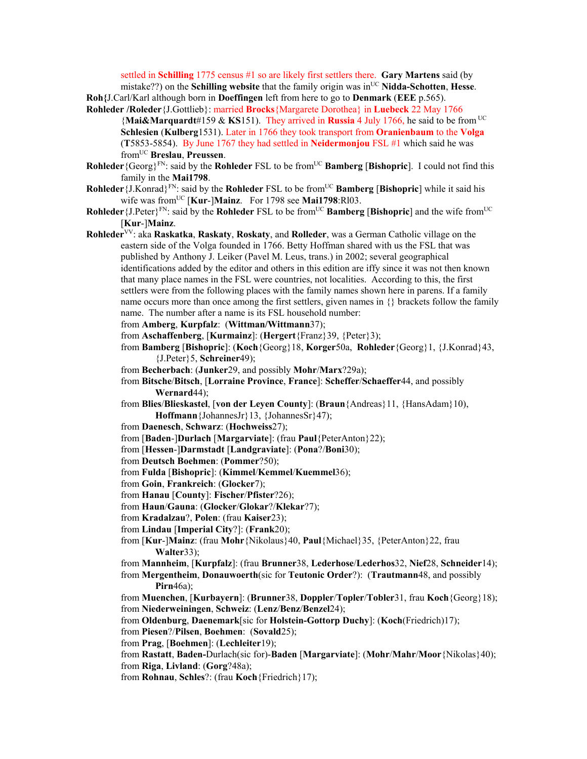settled in **Schilling** 1775 census #1 so are likely first settlers there. **Gary Martens** said (by mistake??) on the **Schilling website** that the family origin was in<sup>UC</sup> Nidda-Schotten, Hesse. **Roh{**J.Carl/Karl although born in **Doeffingen** left from here to go to **Denmark** (**EEE** p.565).

- **Rohleder /Roleder**{J.Gottlieb}: married **Brocks**{Margarete Dorothea} in **Luebeck** 22 May 1766 {**Mai&Marquardt**#159 & **KS**151). They arrived in **Russia** 4 July 1766, he said to be from UC **Schlesien** (**Kulberg**1531). Later in 1766 they took transport from **Oranienbaum** to the **Volga** (**T**5853-5854). By June 1767 they had settled in **Neidermonjou** FSL #1 which said he was fromUC **Breslau**, **Preussen**.
- **Rohleder** {Georg}<sup>FN</sup>: said by the **Rohleder** FSL to be from<sup>UC</sup> **Bamberg** [Bishopric]. I could not find this family in the **Mai1798**.
- **Rohleder**{J.Konrad}FN: said by the **Rohleder** FSL to be fromUC **Bamberg** [**Bishopric**] while it said his wife was fromUC [**Kur**-]**Mainz**. For 1798 see **Mai1798**:Rl03.
- **Rohleder** {J.Peter}<sup>FN</sup>: said by the **Rohleder** FSL to be from<sup>UC</sup> **Bamberg** [Bishopric] and the wife from<sup>UC</sup> [**Kur**-]**Mainz**.
- **Rohleder**VV: aka **Raskatka**, **Raskaty**, **Roskaty**, and **Rolleder**, was a German Catholic village on the eastern side of the Volga founded in 1766. Betty Hoffman shared with us the FSL that was published by Anthony J. Leiker (Pavel M. Leus, trans.) in 2002; several geographical identifications added by the editor and others in this edition are iffy since it was not then known that many place names in the FSL were countries, not localities. According to this, the first settlers were from the following places with the family names shown here in parens. If a family name occurs more than once among the first settlers, given names in  $\{\}$  brackets follow the family name. The number after a name is its FSL household number:
	- from **Amberg**, **Kurpfalz**: (**Wittman/Wittmann**37);
	- from **Aschaffenberg**, [**Kurmainz**]: (**Hergert**{Franz}39, {Peter}3);
	- from **Bamberg** [**Bishopric**]: (**Koch**{Georg}18, **Korger**50a, **Rohleder**{Georg}1, {J.Konrad}43, {J.Peter}5, **Schreiner**49);
	- from **Becherbach**: (**Junker**29, and possibly **Mohr**/**Marx**?29a);
	- from **Bitsche**/**Bitsch**, [**Lorraine Province**, **France**]: **Scheffer**/**Schaeffer**44, and possibly **Wernard**44);
	- from **Blies**/**Blieskastel**, [**von der Leyen County**]: (**Braun**{Andreas}11, {HansAdam}10), **Hoffmann**{JohannesJr}13, {JohannesSr}47);
	- from **Daenesch**, **Schwarz**: (**Hochweiss**27);
	- from [**Baden**-]**Durlach** [**Margarviate**]: (frau **Paul**{PeterAnton}22);
	- from [**Hessen**-]**Darmstadt** [**Landgraviate**]: (**Pona**?/**Boni**30);
	- from **Deutsch Boehmen**: (**Pommer**?50);
	- from **Fulda** [**Bishopric**]: (**Kimmel**/**Kemmel**/**Kuemmel**36);
	- from **Goin**, **Frankreich**: (**Glocker**7);
	- from **Hanau** [**County**]: **Fischer**/**Pfister**?26);
	- from **Haun**/**Gauna**: (**Glocker**/**Glokar**?/**Klekar**?7);
	- from **Kradalzau**?, **Polen**: (frau **Kaiser**23);
	- from **Lindau** [**Imperial City**?]: (**Frank**20);
	- from [**Kur**-]**Mainz**: (frau **Mohr**{Nikolaus}40, **Paul**{Michael}35, {PeterAnton}22, frau **Walter**33);
	- from **Mannheim**, [**Kurpfalz**]: (frau **Brunner**38, **Lederhose**/**Lederhos**32, **Nief**28, **Schneider**14);
	- from **Mergentheim**, **Donauwoerth**(sic for **Teutonic Order**?): (**Trautmann**48, and possibly **Pirn**46a);
	- from **Muenchen**, [**Kurbayern**]: (**Brunner**38, **Doppler**/**Topler**/**Tobler**31, frau **Koch**{Georg}18); from **Niederweiningen**, **Schweiz**: (**Lenz**/**Benz**/**Benzel**24);
	- from **Oldenburg**, **Daenemark**[sic for **Holstein-Gottorp Duchy**]: (**Koch**(Friedrich)17);
	- from **Piesen**?/**Pilsen**, **Boehmen**: (**Sovald**25);
	- from **Prag**, [**Boehmen**]: (**Lechleiter**19);
	- from **Rastatt**, **Baden-**Durlach(sic for)-**Baden** [**Margarviate**]: (**Mohr**/**Mahr**/**Moor**{Nikolas}40); from **Riga**, **Livland**: (**Gorg**?48a);
	- from **Rohnau**, **Schles**?: (frau **Koch**{Friedrich}17);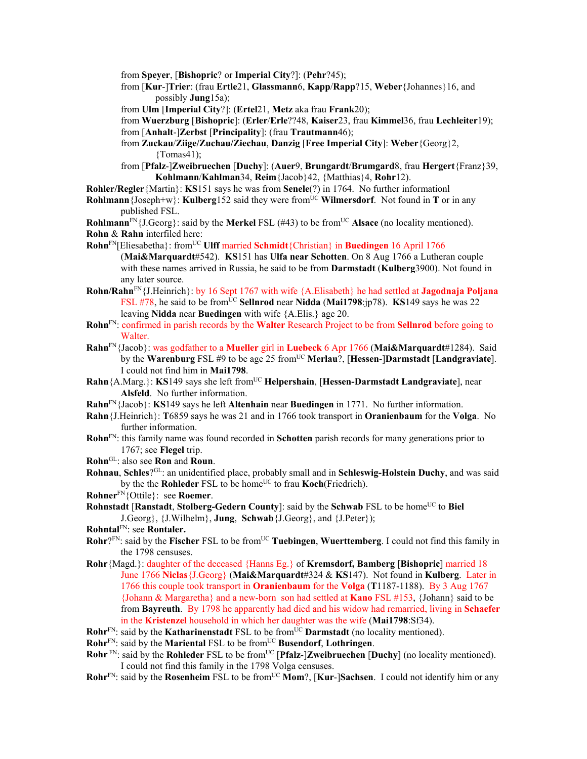from **Speyer**, [**Bishopric**? or **Imperial City**?]: (**Pehr**?45);

- from [**Kur**-]**Trier**: (frau **Ertle**21, **Glassmann**6, **Kapp**/**Rapp**?15, **Weber**{Johannes}16, and possibly **Jung**15a);
- from **Ulm** [**Imperial City**?]: (**Ertel**21, **Metz** aka frau **Frank**20);
- from **Wuerzburg** [**Bishopric**]: (**Erler**/**Erle**??48, **Kaiser**23, frau **Kimmel**36, frau **Lechleiter**19); from [**Anhalt**-]**Zerbst** [**Principality**]: (frau **Trautmann**46);
- from **Zuckau**/**Ziige/Zuchau/Ziechau**, **Danzig** [**Free Imperial City**]: **Weber**{Georg}2,  ${Tomas41}$ ;
- from [**Pfalz**-]**Zweibruechen** [**Duchy**]: (**Auer**9, **Brungardt**/**Brumgard**8, frau **Hergert**{Franz}39, **Kohlmann**/**Kahlman**34, **Reim**{Jacob}42, {Matthias}4, **Rohr**12).
- **Rohler/Regler**{Martin}: **KS**151 says he was from **Senele**(?) in 1764. No further informationl
- **Rohlmann** {Joseph+w}: **Kulberg**152 said they were from<sup>UC</sup> **Wilmersdorf**. Not found in **T** or in any published FSL.
- **Rohlmann**<sup>FN</sup>{J.Georg}: said by the **Merkel** FSL (#43) to be from<sup>UC</sup> **Alsace** (no locality mentioned). **Rohn** & **Rahn** interfiled here:
- **Rohn**FN[Eliesabetha}: fromUC **Ulff** married **Schmidt**{Christian} in **Buedingen** 16 April 1766 (**Mai&Marquardt**#542). **KS**151 has **Ulfa near Schotten**. On 8 Aug 1766 a Lutheran couple with these names arrived in Russia, he said to be from **Darmstadt** (**Kulberg**3900). Not found in any later source.
- **Rohn/Rahn**FN{J.Heinrich}: by 16 Sept 1767 with wife {A.Elisabeth} he had settled at **Jagodnaja Poljana** FSL #78, he said to be from<sup>UC</sup> Sellnrod near Nidda (Mai1798:jp78). **KS**149 says he was 22 leaving **Nidda** near **Buedingen** with wife {A.Elis.} age 20.
- **Rohn**FN: confirmed in parish records by the **Walter** Research Project to be from **Sellnrod** before going to Walter.
- **Rahn**FN{Jacob}: was godfather to a **Mueller** girl in **Luebeck** 6 Apr 1766 (**Mai&Marquardt**#1284). Said by the **Warenburg** FSL #9 to be age 25 fromUC **Merlau**?, [**Hessen**-]**Darmstadt** [**Landgraviate**]. I could not find him in **Mai1798**.
- **Rahn**{A.Marg.}: **KS**149 says she left from<sup>UC</sup> **Helpershain**, [**Hessen-Darmstadt Landgraviate**], near **Alsfeld**. No further information.
- **Rahn**FN{Jacob}: **KS**149 says he left **Altenhain** near **Buedingen** in 1771. No further information.
- **Rahn**{J.Heinrich}: **T**6859 says he was 21 and in 1766 took transport in **Oranienbaum** for the **Volga**. No further information.
- **Rohn**FN: this family name was found recorded in **Schotten** parish records for many generations prior to 1767; see **Flegel** trip.
- **Rohn**GL: also see **Ron** and **Roun**.
- **Rohnau**, **Schles**?GL: an unidentified place, probably small and in **Schleswig-Holstein Duchy**, and was said by the the **Rohleder** FSL to be home<sup>UC</sup> to frau **Koch**(Friedrich).
- **Rohner**FN{Ottile}: see **Roemer**.
- **Rohnstadt [Ranstadt, Stolberg-Gedern County]: said by the Schwab FSL to be home<sup>UC</sup> to Biel** J.Georg}, {J.Wilhelm}, **Jung**, **Schwab**{J.Georg}, and {J.Peter});
- **Rohntal**FN: see **Rontaler.**
- **Rohr**?FN: said by the **Fischer** FSL to be from<sup>UC</sup> **Tuebingen**, **Wuerttemberg**. I could not find this family in the 1798 censuses.
- **Rohr**{Magd.}: daughter of the deceased {Hanns Eg.} of **Kremsdorf, Bamberg** [**Bishopric**] married 18 June 1766 **Niclas**{J.Georg} (**Mai&Marquardt**#324 & **KS**147). Not found in **Kulberg**. Later in 1766 this couple took transport in **Oranienbaum** for the **Volga** (**T**1187-1188). By 3 Aug 1767 {Johann & Margaretha} and a new-born son had settled at **Kano** FSL #153, {Johann} said to be from **Bayreuth**. By 1798 he apparently had died and his widow had remarried, living in **Schaefer**  in the **Kristenzel** household in which her daughter was the wife (**Mai1798**:Sf34).
- **Rohr**FN: said by the **Katharinenstadt** FSL to be from<sup>UC</sup> **Darmstadt** (no locality mentioned).
- **Rohr**FN: said by the **Mariental** FSL to be fromUC **Busendorf**, **Lothringen**.
- **Rohr**<sup>FN</sup>: said by the **Rohleder** FSL to be from<sup>UC</sup> [Pfalz-]Zweibruechen [Duchy] (no locality mentioned). I could not find this family in the 1798 Volga censuses.
- **Rohr**FN: said by the **Rosenheim** FSL to be from<sup>UC</sup> Mom?, [Kur-]Sachsen. I could not identify him or any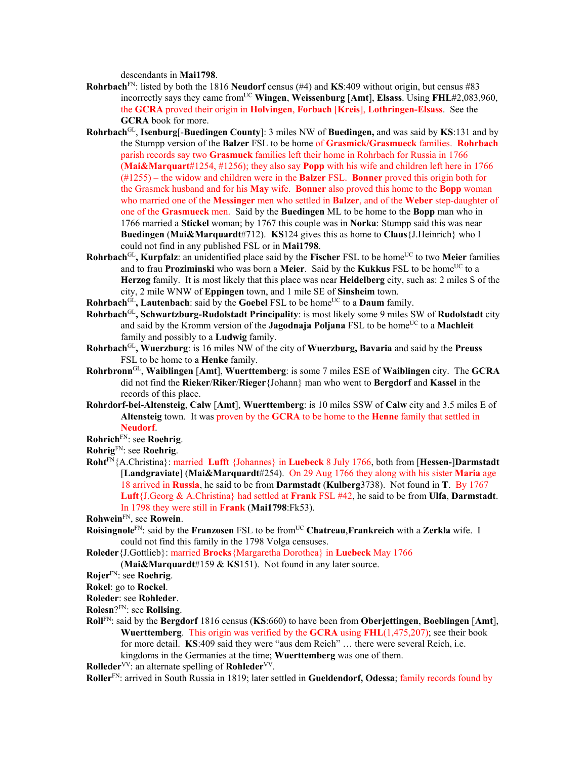descendants in **Mai1798**.

- **Rohrbach**FN: listed by both the 1816 **Neudorf** census (#4) and **KS**:409 without origin, but census #83 incorrectly says they came from<sup>UC</sup> Wingen, Weissenburg [Amt], Elsass. Using FHL#2,083,960, the **GCRA** proved their origin in **Holvingen**, **Forbach** [**Kreis**], **Lothringen-Elsass**. See the **GCRA** book for more.
- **Rohrbach**GL, **Isenburg**[-**Buedingen County**]: 3 miles NW of **Buedingen,** and was said by **KS**:131 and by the Stumpp version of the **Balzer** FSL to be home of **Grasmick/Grasmueck** families. **Rohrbach** parish records say two **Grasmuck** families left their home in Rohrbach for Russia in 1766 (**Mai&Marquart**#1254, #1256); they also say **Popp** with his wife and children left here in 1766 (#1255) – the widow and children were in the **Balzer** FSL. **Bonner** proved this origin both for the Grasmck husband and for his **May** wife. **Bonner** also proved this home to the **Bopp** woman who married one of the **Messinger** men who settled in **Balzer**, and of the **Weber** step-daughter of one of the **Grasmueck** men. Said by the **Buedingen** ML to be home to the **Bopp** man who in 1766 married a **Stickel** woman; by 1767 this couple was in **Norka**: Stumpp said this was near **Buedingen** (**Mai&Marquardt**#712). **KS**124 gives this as home to **Claus**{J.Heinrich} who I could not find in any published FSL or in **Mai1798**.
- **Rohrbach**<sup>GL</sup>, **Kurpfalz**: an unidentified place said by the **Fischer** FSL to be home<sup>UC</sup> to two **Meier** families and to frau Proziminski who was born a Meier. Said by the Kukkus FSL to be home<sup>UC</sup> to a **Herzog** family. It is most likely that this place was near **Heidelberg** city, such as: 2 miles S of the city, 2 mile WNW of **Eppingen** town, and 1 mile SE of **Sinsheim** town.
- **Rohrbach**<sup>GL</sup>, Lautenbach: said by the Goebel FSL to be home<sup>UC</sup> to a Daum family.
- **Rohrbach**GL**, Schwartzburg-Rudolstadt Principality**: is most likely some 9 miles SW of **Rudolstadt** city and said by the Kromm version of the **Jagodnaja Poljana** FSL to be home<sup>UC</sup> to a **Machleit** family and possibly to a **Ludwig** family.
- **Rohrbach**GL**, Wuerzburg**: is 16 miles NW of the city of **Wuerzburg, Bavaria** and said by the **Preuss** FSL to be home to a **Henke** family.
- **Rohrbronn**GL, **Waiblingen** [**Amt**], **Wuerttemberg**: is some 7 miles ESE of **Waiblingen** city. The **GCRA** did not find the **Rieker**/**Riker**/**Rieger**{Johann} man who went to **Bergdorf** and **Kassel** in the records of this place.
- **Rohrdorf-bei-Altensteig**, **Calw** [**Amt**], **Wuerttemberg**: is 10 miles SSW of **Calw** city and 3.5 miles E of **Altensteig** town. It was proven by the **GCRA** to be home to the **Henne** family that settled in **Neudorf**.

**Rohrich**FN: see **Roehrig**.

- **Rohrig**FN: see **Roehrig**.
- **Roht**FN{A.Christina}: married **Lufft** {Johannes} in **Luebeck** 8 July 1766, both from [**Hessen-**]**Darmstadt** [**Landgraviate**] (**Mai&Marquardt**#254). On 29 Aug 1766 they along with his sister **Maria** age 18 arrived in **Russia**, he said to be from **Darmstadt** (**Kulberg**3738). Not found in **T**. By 1767 **Luft**{J.Georg & A.Christina} had settled at **Frank** FSL #42, he said to be from **Ulfa**, **Darmstadt**. In 1798 they were still in **Frank** (**Mai1798**:Fk53).

**Rohwein**FN, see **Rowein**.

- **Roisingnole**FN: said by the **Franzosen** FSL to be fromUC **Chatreau**,**Frankreich** with a **Zerkla** wife. I could not find this family in the 1798 Volga censuses.
- **Roleder**{J.Gottlieb}: married **Brocks**{Margaretha Dorothea} in **Luebeck** May 1766

(**Mai&Marquardt**#159 & **KS**151). Not found in any later source.

**Rojer**FN: see **Roehrig**.

**Rokel**: go to **Rockel**.

**Roleder**: see **Rohleder**.

**Rolesn**?FN: see **Rollsing**.

**Roll**FN: said by the **Bergdorf** 1816 census (**KS**:660) to have been from **Oberjettingen**, **Boeblingen** [**Amt**], **Wuerttemberg**. This origin was verified by the **GCRA** using **FHL**(1,475,207); see their book for more detail. **KS**:409 said they were "aus dem Reich" … there were several Reich, i.e. kingdoms in the Germanies at the time; **Wuerttemberg** was one of them.

**Rolleder**<sup>VV</sup>: an alternate spelling of **Rohleder**<sup>VV</sup>.

**Roller**FN: arrived in South Russia in 1819; later settled in **Gueldendorf, Odessa**; family records found by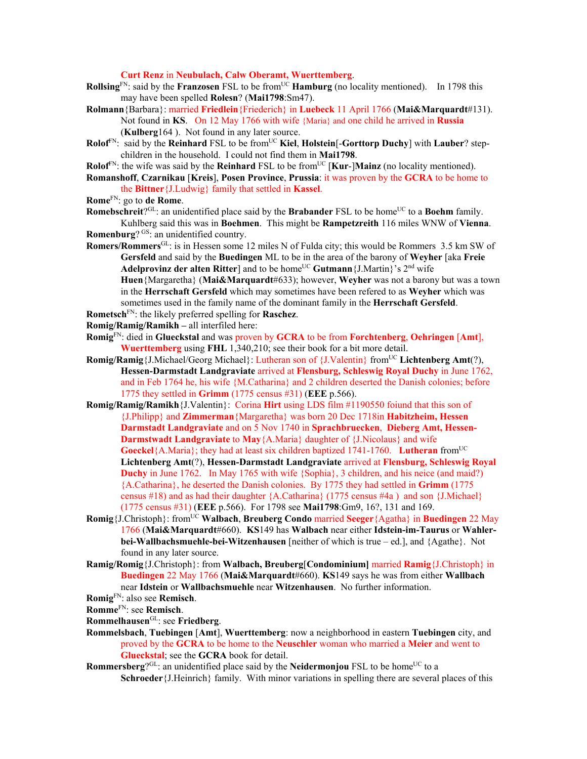**Curt Renz** in **Neubulach, Calw Oberamt, Wuerttemberg**.

- **Rollsing**<sup>FN</sup>: said by the **Franzosen** FSL to be from<sup>UC</sup> **Hamburg** (no locality mentioned). In 1798 this may have been spelled **Rolesn**? (**Mai1798**:Sm47).
- **Rolmann**{Barbara}: married **Friedlein**{Friederich} in **Luebeck** 11 April 1766 (**Mai&Marquardt**#131). Not found in **KS**. On 12 May 1766 with wife {Maria} and one child he arrived in **Russia** (**Kulberg**164 ). Not found in any later source.
- **Rolof**<sup>FN</sup>: said by the **Reinhard** FSL to be from<sup>UC</sup> **Kiel**, **Holstein**[-**Gorttorp Duchy**] with **Lauber**? stepchildren in the household. I could not find them in **Mai1798**.
- **Rolof**<sup>FN</sup>: the wife was said by the **Reinhard** FSL to be from<sup>UC</sup> [**Kur-**]Mainz (no locality mentioned).
- **Romanshoff**, **Czarnikau** [**Kreis**], **Posen Province**, **Prussia**: it was proven by the **GCRA** to be home to the **Bittner**{J.Ludwig} family that settled in **Kassel**.
- **Rome**FN: go to **de Rome**.
- **Romebschreit**?<sup>GL</sup>: an unidentified place said by the **Brabander** FSL to be home<sup>UC</sup> to a **Boehm** family. Kuhlberg said this was in **Boehmen**. This might be **Rampetzreith** 116 miles WNW of **Vienna**. **Romenburg**? GS: an unidentified country.
- **Romers/Rommers**GL: is in Hessen some 12 miles N of Fulda city; this would be Rommers 3.5 km SW of **Gersfeld** and said by the **Buedingen** ML to be in the area of the barony of **Weyher** [aka **Freie**  Adelprovinz der alten Ritter] and to be home<sup>UC</sup> Gutmann {J.Martin}'s 2<sup>nd</sup> wife

**Huen**{Margaretha} (**Mai&Marquardt**#633); however, **Weyher** was not a barony but was a town in the **Herrschaft Gersfeld** which may sometimes have been refered to as **Weyher** which was sometimes used in the family name of the dominant family in the **Herrschaft Gersfeld**.

**Rometsch**FN: the likely preferred spelling for **Raschez**.

- **Romig/Ramig/Ramikh** all interfiled here:
- **Romig**FN: died in **Glueckstal** and was proven by **GCRA** to be from **Forchtenberg**, **Oehringen** [**Amt**], **Wuerttemberg** using **FHL** 1,340,210; see their book for a bit more detail.
- **Romig/Ramig** {J.Michael/Georg Michael}: Lutheran son of {J.Valentin} from<sup>UC</sup> Lichtenberg Amt(?), **Hessen-Darmstadt Landgraviate** arrived at **Flensburg, Schleswig Royal Duchy** in June 1762, and in Feb 1764 he, his wife {M.Catharina} and 2 children deserted the Danish colonies; before 1775 they settled in **Grimm** (1775 census #31) (**EEE** p.566).
- **Romig/Ramig/Ramikh**{J.Valentin}: Corina **Hirt** using LDS film #1190550 foiund that this son of {J.Philipp} and **Zimmerman**{Margaretha} was born 20 Dec 1718in **Habitzheim, Hessen Darmstadt Landgraviate** and on 5 Nov 1740 in **Sprachbruecken**, **Dieberg Amt, Hessen-Darmstwadt Landgraviate** to **May**{A.Maria} daughter of {J.Nicolaus} and wife **Goeckel**{A.Maria}; they had at least six children baptized 1741-1760. **Lutheran** from<sup>UC</sup> **Lichtenberg Amt**(?), **Hessen-Darmstadt Landgraviate** arrived at **Flensburg, Schleswig Royal Duchy** in June 1762. In May 1765 with wife {Sophia}, 3 children, and his neice (and maid?) {A.Catharina}, he deserted the Danish colonies. By 1775 they had settled in **Grimm** (1775 census #18) and as had their daughter {A.Catharina} (1775 census #4a ) and son {J.Michael} (1775 census #31) (**EEE** p.566). For 1798 see **Mai1798**:Gm9, 16?, 131 and 169.
- **Romig**{J.Christoph}: fromUC **Walbach**, **Breuberg Condo** married **Seeger**{Agatha} in **Buedingen** 22 May 1766 (**Mai&Marquardt**#660). **KS**149 has **Walbach** near either **Idstein-im-Taurus** or **Wahlerbei-Wallbachsmuehle-bei-Witzenhausen** [neither of which is true – ed.], and {Agathe}. Not found in any later source.
- **Ramig/Romig**{J.Christoph}: from **Walbach, Breuberg**[**Condominium]** married **Ramig**{J.Christoph} in **Buedingen** 22 May 1766 (**Mai&Marquardt**#660). **KS**149 says he was from either **Wallbach**  near **Idstein** or **Wallbachsmuehle** near **Witzenhausen**. No further information.

**Romme**FN: see **Remisch**.

- **Rommelhausen**GL: see **Friedberg**.
- **Rommelsbach**, **Tuebingen** [**Amt**], **Wuerttemberg**: now a neighborhood in eastern **Tuebingen** city, and proved by the **GCRA** to be home to the **Neuschler** woman who married a **Meier** and went to **Glueckstal**; see the **GCRA** book for detail.
- **Rommersberg**? $GL:$  an unidentified place said by the **Neidermonjou** FSL to be home<sup>UC</sup> to a **Schroeder**{J.Heinrich} family. With minor variations in spelling there are several places of this

**Romig**FN: also see **Remisch**.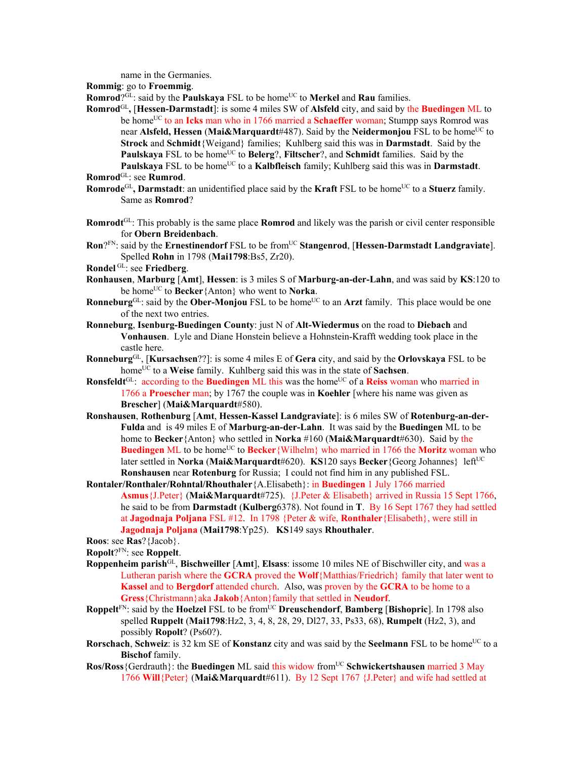name in the Germanies.

**Rommig**: go to **Froemmig**.

**Romrod**?GL: said by the **Paulskaya** FSL to be home<sup>UC</sup> to **Merkel** and **Rau** families.

**Romrod**GL**,** [**Hessen-Darmstadt**]: is some 4 miles SW of **Alsfeld** city, and said by the **Buedingen** ML to be home<sup>UC</sup> to an **Icks** man who in 1766 married a **Schaeffer** woman; Stumpp says Romrod was near **Alsfeld, Hessen** (Mai&Marquardt#487). Said by the **Neidermonjou** FSL to be home<sup>UC</sup> to **Strock** and **Schmidt**{Weigand} families; Kuhlberg said this was in **Darmstadt**. Said by the **Paulskaya** FSL to be home<sup>UC</sup> to **Belerg**?, **Filtscher**?, and **Schmidt** families. Said by the **Paulskaya** FSL to be home<sup>UC</sup> to a **Kalbfleisch** family; Kuhlberg said this was in **Darmstadt**.

**Romrod**GL: see **Rumrod**.

- **Romrode**<sup>GL</sup>, **Darmstadt**: an unidentified place said by the **Kraft** FSL to be home<sup>UC</sup> to a **Stuerz** family. Same as **Romrod**?
- **Romrodt**GL: This probably is the same place **Romrod** and likely was the parish or civil center responsible for **Obern Breidenbach**.
- **Ron**?FN: said by the **Ernestinendorf** FSL to be from<sup>UC</sup> Stangenrod, [Hessen-Darmstadt Landgraviate]. Spelled **Rohn** in 1798 (**Mai1798**:Bs5, Zr20).
- **Rondel** GL: see **Friedberg**.
- **Ronhausen**, **Marburg** [**Amt**], **Hessen**: is 3 miles S of **Marburg-an-der-Lahn**, and was said by **KS**:120 to be homeUC to **Becker**{Anton} who went to **Norka**.
- **Ronneburg**<sup>GL</sup>: said by the **Ober-Monjou** FSL to be home<sup>UC</sup> to an **Arzt** family. This place would be one of the next two entries.
- **Ronneburg**, **Isenburg-Buedingen County**: just N of **Alt-Wiedermus** on the road to **Diebach** and **Vonhausen**. Lyle and Diane Honstein believe a Hohnstein-Krafft wedding took place in the castle here.
- **Ronneburg**GL, [**Kursachsen**??]: is some 4 miles E of **Gera** city, and said by the **Orlovskaya** FSL to be homeUC to a **Weise** family. Kuhlberg said this was in the state of **Sachsen**.
- **Ronsfeldt**<sup>GL</sup>: according to the **Buedingen** ML this was the home<sup>UC</sup> of a **Reiss** woman who married in 1766 a **Proescher** man; by 1767 the couple was in **Koehler** [where his name was given as **Brescher**] (**Mai&Marquardt**#580).
- **Ronshausen**, **Rothenburg** [**Amt**, **Hessen-Kassel Landgraviate**]: is 6 miles SW of **Rotenburg-an-der-Fulda** and is 49 miles E of **Marburg-an-der-Lahn**. It was said by the **Buedingen** ML to be home to **Becker**{Anton} who settled in **Norka** #160 (**Mai&Marquardt**#630). Said by the **Buedingen** ML to be home<sup>UC</sup> to **Becker**{Wilhelm} who married in 1766 the **Moritz** woman who later settled in **Norka** (**Mai&Marquardt**#620). **KS**120 says **Becker**{Georg Johannes} leftUC **Ronshausen** near **Rotenburg** for Russia; I could not find him in any published FSL.
- **Rontaler/Ronthaler/Rohntal/Rhouthaler**{A.Elisabeth}: in **Buedingen** 1 July 1766 married **Asmus**{J.Peter} (**Mai&Marquardt**#725). {J.Peter & Elisabeth} arrived in Russia 15 Sept 1766, he said to be from **Darmstadt** (**Kulberg**6378). Not found in **T**. By 16 Sept 1767 they had settled at **Jagodnaja Poljana** FSL #12. In 1798 {Peter & wife, **Ronthaler**{Elisabeth}, were still in **Jagodnaja Poljana** (**Mai1798**:Yp25). **KS**149 says **Rhouthaler**.

**Roos**: see **Ras**?{Jacob}.

- **Ropolt**?FN: see **Roppelt**.
- **Roppenheim parish**GL, **Bischweiller** [**Amt**], **Elsass**: issome 10 miles NE of Bischwiller city, and was a Lutheran parish where the **GCRA** proved the **Wolf**{Matthias/Friedrich} family that later went to **Kassel** and to **Bergdorf** attended church. Also, was proven by the **GCRA** to be home to a **Gress**{Christmann}aka **Jakob**{Anton}family that settled in **Neudorf**.
- **Roppelt**<sup>FN</sup>: said by the **Hoelzel** FSL to be from<sup>UC</sup> **Dreuschendorf, Bamberg** [Bishopric]. In 1798 also spelled **Ruppelt** (**Mai1798**:Hz2, 3, 4, 8, 28, 29, Dl27, 33, Ps33, 68), **Rumpelt** (Hz2, 3), and possibly **Ropolt**? (Ps60?).
- **Rorschach, Schweiz**: is 32 km SE of **Konstanz** city and was said by the **Seelmann** FSL to be home<sup>UC</sup> to a **Bischof** family.
- **Ros/Ross**{Gerdrauth}: the **Buedingen** ML said this widow fromUC **Schwickertshausen** married 3 May 1766 **Will**{Peter} (**Mai&Marquardt**#611). By 12 Sept 1767 {J.Peter} and wife had settled at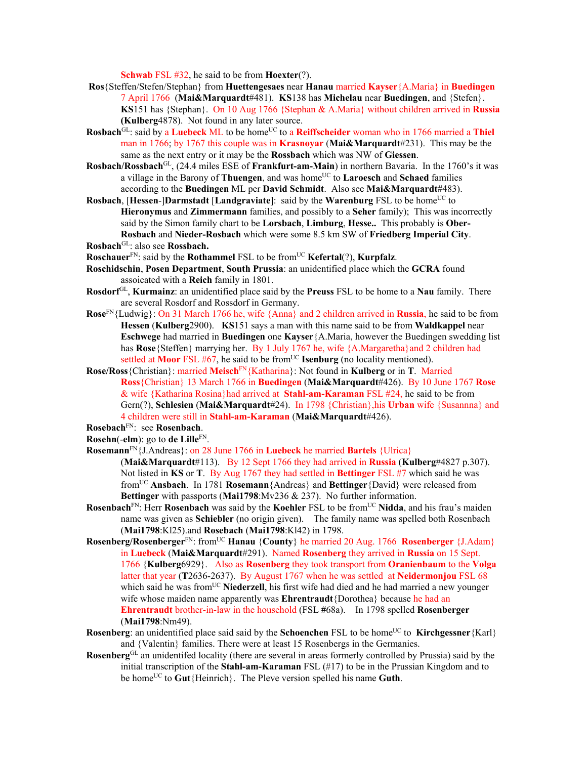**Schwab** FSL #32, he said to be from **Hoexter**(?).

- **Ros**{Steffen/Stefen/Stephan} from **Huettengesaes** near **Hanau** married **Kayser**{A.Maria} in **Buedingen**  7 April 1766 (**Mai&Marquardt**#481). **KS**138 has **Michelau** near **Buedingen**, and {Stefen}. **KS**151 has {Stephan}. On 10 Aug 1766 {Stephan & A.Maria} without children arrived in **Russia (Kulberg**4878). Not found in any later source.
- **Rosbach**<sup>GL</sup>: said by a **Luebeck** ML to be home<sup>UC</sup> to a **Reiffscheider** woman who in 1766 married a Thiel man in 1766; by 1767 this couple was in **Krasnoyar** (**Mai&Marquardt**#231). This may be the same as the next entry or it may be the **Rossbach** which was NW of **Giessen**.
- **Rosbach/Rossbach**GL, (24.4 miles ESE of **Frankfurt-am-Main**) in northern Bavaria. In the 1760's it was a village in the Barony of **Thuengen**, and was home<sup>UC</sup> to **Laroesch** and **Schaed** families according to the **Buedingen** ML per **David Schmidt**. Also see **Mai&Marquardt**#483).
- **Rosbach, [Hessen-]Darmstadt** [Landgraviate]: said by the **Warenburg** FSL to be home<sup>UC</sup> to **Hieronymus** and **Zimmermann** families, and possibly to a **Seher** family); This was incorrectly said by the Simon family chart to be **Lorsbach**, **Limburg**, **Hesse..** This probably is **Ober-Rosbach** and **Nieder-Rosbach** which were some 8.5 km SW of **Friedberg Imperial City**. **Rosbach**GL: also see **Rossbach.**
- **Roschauer**<sup>FN</sup>: said by the **Rothammel** FSL to be from<sup>UC</sup> **Kefertal**(?), **Kurpfalz**.
- **Roschidschin**, **Posen Department**, **South Prussia**: an unidentified place which the **GCRA** found assoicated with a **Reich** family in 1801.
- **Rosdorf**GL, **Kurmainz**: an unidentified place said by the **Preuss** FSL to be home to a **Nau** family. There are several Rosdorf and Rossdorf in Germany.
- **Rose**FN{Ludwig}: On 31 March 1766 he, wife {Anna} and 2 children arrived in **Russia**, he said to be from **Hessen** (**Kulberg**2900). **KS**151 says a man with this name said to be from **Waldkappel** near **Eschwege** had married in **Buedingen** one **Kayser** {A.Maria, however the Buedingen swedding list has **Rose**{Steffen} marrying her. By 1 July 1767 he, wife {A.Margaretha}and 2 children had settled at **Moor** FSL #67, he said to be from<sup>UC</sup> **Isenburg** (no locality mentioned).
- **Rose/Ross**{Christian}: married **Meisch**FN{Katharina}: Not found in **Kulberg** or in **T**. Married **Ross**{Christian} 13 March 1766 in **Buedingen** (**Mai&Marquardt**#426). By 10 June 1767 **Rose** & wife {Katharina Rosina}had arrived at **Stahl-am-Karaman** FSL #24, he said to be from Gern(?), **Schlesien** (**Mai&Marquardt**#24). In 1798 {Christian},his **Urban** wife {Susannna} and 4 children were still in **Stahl-am-Karaman** (**Mai&Marquardt**#426).

- **Rosemann**FN{J.Andreas}: on 28 June 1766 in **Luebeck** he married **Bartels** {Ulrica} (**Mai&Marquardt**#113). By 12 Sept 1766 they had arrived in **Russia** (**Kulberg**#4827 p.307). Not listed in **KS** or **T**. By Aug 1767 they had settled in **Bettinger** FSL #7 which said he was fromUC **Ansbach**. In 1781 **Rosemann**{Andreas} and **Bettinger**{David} were released from **Bettinger** with passports (**Mai1798**:Mv236 & 237). No further information.
- **Rosenbach**<sup>FN</sup>: Herr **Rosenbach** was said by the **Koehler** FSL to be from<sup>UC</sup> Nidda, and his frau's maiden name was given as **Schiebler** (no origin given). The family name was spelled both Rosenbach (**Mai1798**:Kl25).and **Rosebach** (**Mai1798**:Kl42) in 1798.
- **Rosenberg/Rosenberger**<sup>FN</sup>: from<sup>UC</sup> **Hanau** {**County**} he married 20 Aug. 1766 **Rosenberger** {J.Adam} in **Luebeck** (**Mai&Marquardt**#291). Named **Rosenberg** they arrived in **Russia** on 15 Sept. 1766 {**Kulberg**6929}. Also as **Rosenberg** they took transport from **Oranienbaum** to the **Volga** latter that year (**T**2636-2637). By August 1767 when he was settled at **Neidermonjou** FSL 68 which said he was from<sup>UC</sup> Niederzell, his first wife had died and he had married a new younger wife whose maiden name apparently was **Ehrentraudt**{Dorothea} because he had an **Ehrentraudt** brother-in-law in the household (FSL **#**68a). In 1798 spelled **Rosenberger** (**Mai1798**:Nm49).
- **Rosenberg:** an unidentified place said said by the **Schoenchen** FSL to be home<sup>UC</sup> to **Kirchgessner**{Karl} and {Valentin} families. There were at least 15 Rosenbergs in the Germanies.
- **Rosenberg**GL an unidentifed locality (there are several in areas formerly controlled by Prussia) said by the initial transcription of the **Stahl-am-Karaman** FSL (#17) to be in the Prussian Kingdom and to be homeUC to **Gut**{Heinrich}. The Pleve version spelled his name **Guth**.

**Rosebach**FN: see **Rosenbach**.

**Rosehn**(-**elm**): go to **de Lille**FN.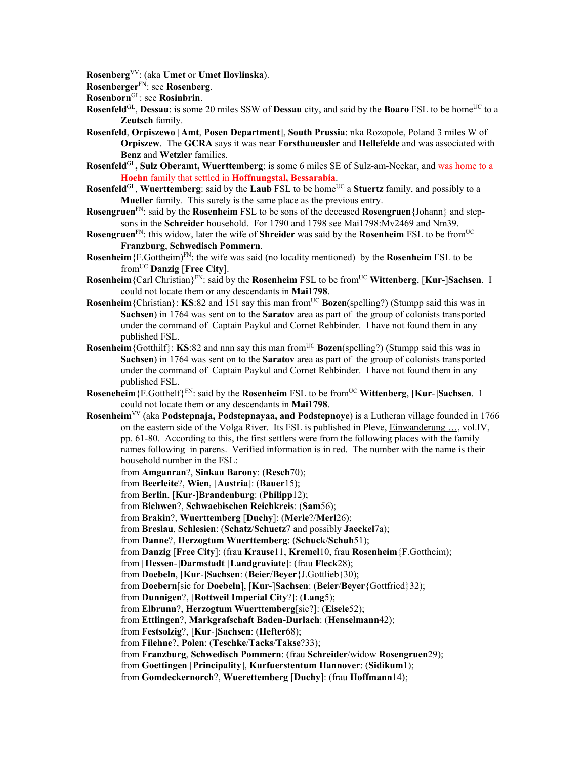**Rosenberg**VV: (aka **Umet** or **Umet Ilovlinska**).

**Rosenberger**FN: see **Rosenberg**.

- **Rosenborn**GL: see **Rosinbrin**.
- **Rosenfeld**<sup>GL</sup>, **Dessau**: is some 20 miles SSW of **Dessau** city, and said by the **Boaro** FSL to be home<sup>UC</sup> to a **Zeutsch** family.
- **Rosenfeld**, **Orpiszewo** [**Amt**, **Posen Department**], **South Prussia**: nka Rozopole, Poland 3 miles W of **Orpiszew**. The **GCRA** says it was near **Forsthaueusler** and **Hellefelde** and was associated with **Benz** and **Wetzler** families.
- **Rosenfeld**GL**, Sulz Oberamt, Wuerttemberg**: is some 6 miles SE of Sulz-am-Neckar, and was home to a **Hoehn** family that settled in **Hoffnungstal, Bessarabia**.
- **Rosenfeld**<sup>GL</sup>, **Wuerttemberg**: said by the **Laub** FSL to be home<sup>UC</sup> a **Stuertz** family, and possibly to a **Mueller** family. This surely is the same place as the previous entry.
- **Rosengruen**FN: said by the **Rosenheim** FSL to be sons of the deceased **Rosengruen**{Johann} and stepsons in the **Schreider** household. For 1790 and 1798 see Mai1798:Mv2469 and Nm39.
- **Rosengruen**FN: this widow, later the wife of **Shreider** was said by the **Rosenheim** FSL to be fromUC **Franzburg**, **Schwedisch Pommern**.
- **Rosenheim**{F.Gottheim)FN: the wife was said (no locality mentioned) by the **Rosenheim** FSL to be fromUC **Danzig** [**Free City**].
- **Rosenheim**{Carl Christian}FN: said by the **Rosenheim** FSL to be fromUC **Wittenberg**, [**Kur**-]**Sachsen**. I could not locate them or any descendants in **Mai1798**.
- **Rosenheim** {Christian}: **KS**:82 and 151 say this man from<sup>UC</sup> **Bozen**(spelling?) (Stumpp said this was in **Sachsen**) in 1764 was sent on to the **Saratov** area as part of the group of colonists transported under the command of Captain Paykul and Cornet Rehbinder. I have not found them in any published FSL.
- **Rosenheim** {Gotthilf}: **KS**:82 and nnn say this man from<sup>UC</sup> **Bozen**(spelling?) (Stumpp said this was in **Sachsen**) in 1764 was sent on to the **Saratov** area as part of the group of colonists transported under the command of Captain Paykul and Cornet Rehbinder. I have not found them in any published FSL.
- **Roseneheim**{F.Gotthelf}FN: said by the **Rosenheim** FSL to be fromUC **Wittenberg**, [**Kur**-]**Sachsen**. I could not locate them or any descendants in **Mai1798**.
- **Rosenheim**VV (aka **Podstepnaja, Podstepnayaa, and Podstepnoye**) is a Lutheran village founded in 1766 on the eastern side of the Volga River. Its FSL is published in Pleve, Einwanderung …, vol.IV, pp. 61-80. According to this, the first settlers were from the following places with the family names following in parens. Verified information is in red. The number with the name is their household number in the FSL:
	- from **Amganran**?, **Sinkau Barony**: (**Resch**70);
	- from **Beerleite**?, **Wien**, [**Austria**]: (**Bauer**15);
	- from **Berlin**, [**Kur**-]**Brandenburg**: (**Philipp**12);
	- from **Bichwen**?, **Schwaebischen Reichkreis**: (**Sam**56);
	- from **Brakin**?, **Wuerttemberg** [**Duchy**]: (**Merle**?/**Merl**26);
	- from **Breslau**, **Schlesien**: (**Schatz**/**Schuetz**7 and possibly **Jaeckel**7a);
	- from **Danne**?, **Herzogtum Wuerttemberg**: (**Schuck**/**Schuh**51);
	- from **Danzig** [**Free City**]: (frau **Krause**11, **Kremel**10, frau **Rosenheim**{F.Gottheim);
	- from [**Hessen**-]**Darmstadt** [**Landgraviate**]: (frau **Fleck**28);
	- from **Doebeln**, [**Kur**-]**Sachsen**: (**Beier**/**Beyer**{J.Gottlieb}30);
	- from **Doebern**[sic for **Doebeln**], [**Kur**-]**Sachsen**: (**Beier**/**Beyer**{Gottfried}32);
	- from **Dunnigen**?, [**Rottweil Imperial City**?]: (**Lang**5);
	- from **Elbrunn**?, **Herzogtum Wuerttemberg**[sic?]: (**Eisele**52);
	- from **Ettlingen**?, **Markgrafschaft Baden-Durlach**: (**Henselmann**42);
	- from **Festsolzig**?, [**Kur**-]**Sachsen**: (**Hefter**68);
	- from **Filehne**?, **Polen**: (**Teschke**/**Tacks**/**Takse**?33);
	- from **Franzburg**, **Schwedisch Pommern**: (frau **Schreider**/widow **Rosengruen**29);
	- from **Goettingen** [**Principality**], **Kurfuerstentum Hannover**: (**Sidikum**1);
	- from **Gomdeckernorch**?, **Wuerettemberg** [**Duchy**]: (frau **Hoffmann**14);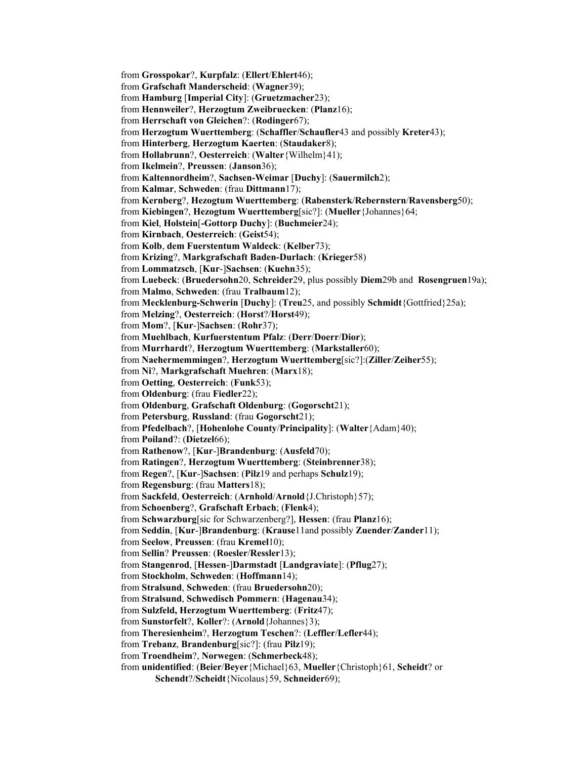from **Grosspokar**?, **Kurpfalz**: (**Ellert**/**Ehlert**46); from **Grafschaft Manderscheid**: (**Wagner**39); from **Hamburg** [**Imperial City**]: (**Gruetzmacher**23); from **Hennweiler**?, **Herzogtum Zweibruecken**: (**Planz**16); from **Herrschaft von Gleichen**?: (**Rodinger**67); from **Herzogtum Wuerttemberg**: (**Schaffler**/**Schaufler**43 and possibly **Kreter**43); from **Hinterberg**, **Herzogtum Kaerten**: (**Staudaker**8); from **Hollabrunn**?, **Oesterreich**: (**Walter**{Wilhelm}41); from **Ikelmein**?, **Preussen**: (**Janson**36); from **Kaltennordheim**?, **Sachsen-Weimar** [**Duchy**]: (**Sauermilch**2); from **Kalmar**, **Schweden**: (frau **Dittmann**17); from **Kernberg**?, **Hezogtum Wuerttemberg**: (**Rabensterk**/**Rebernstern**/**Ravensberg**50); from **Kiebingen**?, **Hezogtum Wuerttemberg**[sic?]: (**Mueller**{Johannes}64; from **Kiel**, **Holstein**[**-Gottorp Duchy**]: (**Buchmeier**24); from **Kirnbach**, **Oesterreich**: (**Geist**54); from **Kolb**, **dem Fuerstentum Waldeck**: (**Kelber**73); from **Krizing**?, **Markgrafschaft Baden-Durlach**: (**Krieger**58) from **Lommatzsch**, [**Kur**-]**Sachsen**: (**Kuehn**35); from **Luebeck**: (**Bruedersohn**20, **Schreider**29, plus possibly **Diem**29b and **Rosengruen**19a); from **Malmo**, **Schweden**: (frau **Tralbaum**12); from **Mecklenburg-Schwerin** [**Duchy**]: (**Treu**25, and possibly **Schmidt**{Gottfried}25a); from **Melzing**?, **Oesterreich**: (**Horst**?/**Horst**49); from **Mom**?, [**Kur**-]**Sachsen**: (**Rohr**37); from **Muehlbach**, **Kurfuerstentum Pfalz**: (**Derr**/**Doerr**/**Dior**); from **Murrhardt**?, **Herzogtum Wuerttemberg**: (**Markstaller**60); from **Naehermemmingen**?, **Herzogtum Wuerttemberg**[sic?]:(**Ziller**/**Zeiher**55); from **Ni**?, **Markgrafschaft Muehren**: (**Marx**18); from **Oetting**, **Oesterreich**: (**Funk**53); from **Oldenburg**: (frau **Fiedler**22); from **Oldenburg**, **Grafschaft Oldenburg**: (**Gogorscht**21); from **Petersburg**, **Russland**: (frau **Gogorscht**21); from **Pfedelbach**?, [**Hohenlohe County**/**Principality**]: (**Walter**{Adam}40); from **Poiland**?: (**Dietzel**66); from **Rathenow**?, [**Kur**-]**Brandenburg**: (**Ausfeld**70); from **Ratingen**?, **Herzogtum Wuerttemberg**: (**Steinbrenner**38); from **Regen**?, [**Kur**-]**Sachsen**: (**Pilz**19 and perhaps **Schulz**19); from **Regensburg**: (frau **Matters**18); from **Sackfeld**, **Oesterreich**: (**Arnhold**/**Arnold**{J.Christoph}57); from **Schoenberg**?, **Grafschaft Erbach**; (**Flenk**4); from **Schwarzburg**[sic for Schwarzenberg?], **Hessen**: (frau **Planz**16); from **Seddin**, [**Kur**-]**Brandenburg**: (**Krause**11and possibly **Zuender**/**Zander**11); from **Seelow**, **Preussen**: (frau **Kremel**10); from **Sellin**? **Preussen**: (**Roesler**/**Ressler**13); from **Stangenrod**, [**Hessen**-]**Darmstadt** [**Landgraviate**]: (**Pflug**27); from **Stockholm**, **Schweden**: (**Hoffmann**14); from **Stralsund**, **Schweden**: (frau **Bruedersohn**20); from **Stralsund**, **Schwedisch Pommern**: (**Hagenau**34); from **Sulzfeld, Herzogtum Wuerttemberg**: (**Fritz**47); from **Sunstorfelt**?, **Koller**?: (**Arnold**{Johannes}3); from **Theresienheim**?, **Herzogtum Teschen**?: (**Leffler**/**Lefler**44); from **Trebanz**, **Brandenburg**[sic?]: (frau **Pilz**19); from **Troendheim**?, **Norwegen**: (**Schmerbeck**48); from **unidentified**: (**Beier**/**Beyer**{Michael}63, **Mueller**{Christoph}61, **Scheidt**? or **Schendt**?/**Scheidt**{Nicolaus}59, **Schneider**69);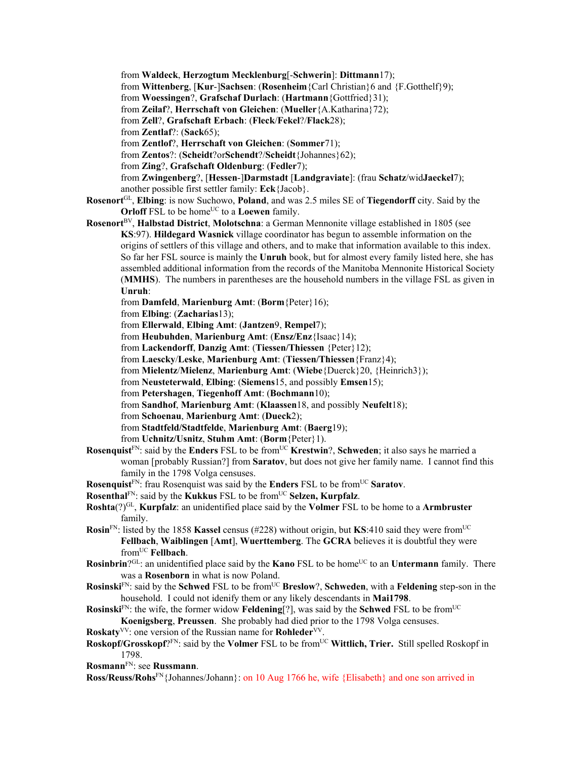from **Waldeck**, **Herzogtum Mecklenburg**[-**Schwerin**]: **Dittmann**17); from **Wittenberg**, [**Kur**-]**Sachsen**: (**Rosenheim**{Carl Christian}6 and {F.Gotthelf}9); from **Woessingen**?, **Grafschaf Durlach**: (**Hartmann**{Gottfried}31); from **Zeilaf**?, **Herrschaft von Gleichen**: (**Mueller**{A.Katharina}72); from **Zell**?, **Grafschaft Erbach**: (**Fleck**/**Fekel**?/**Flack**28); from **Zentlaf**?: (**Sack**65); from **Zentlof**?, **Herrschaft von Gleichen**: (**Sommer**71); from **Zentos**?: (**Scheidt**?or**Schendt**?/**Scheidt**{Johannes}62); from **Zing**?, **Grafschaft Oldenburg**: (**Fedler**7); from **Zwingenberg**?, [**Hessen**-]**Darmstadt** [**Landgraviate**]: (frau **Schatz**/wid**Jaeckel**7); another possible first settler family: **Eck**{Jacob}.

**Rosenort**GL, **Elbing**: is now Suchowo, **Poland**, and was 2.5 miles SE of **Tiegendorff** city. Said by the **Orloff** FSL to be home<sup>UC</sup> to a **Loewen** family.

**Rosenort**BV, **Halbstad District**, **Molotschna**: a German Mennonite village established in 1805 (see **KS**:97). **Hildegard Wasnick** village coordinator has begun to assemble information on the origins of settlers of this village and others, and to make that information available to this index. So far her FSL source is mainly the **Unruh** book, but for almost every family listed here, she has assembled additional information from the records of the Manitoba Mennonite Historical Society (**MMHS**). The numbers in parentheses are the household numbers in the village FSL as given in **Unruh**:

from **Damfeld**, **Marienburg Amt**: (**Borm**{Peter}16);

from **Elbing**: (**Zacharias**13);

from **Ellerwald**, **Elbing Amt**: (**Jantzen**9, **Rempel**7);

from **Heubuhden**, **Marienburg Amt**: (**Ensz/Enz**{Isaac}14);

from **Lackendorff**, **Danzig Amt**: (**Tiessen/Thiessen** {Peter}12);

from **Laescky**/**Leske**, **Marienburg Amt**: (**Tiessen/Thiessen**{Franz}4);

from **Mielentz**/**Mielenz**, **Marienburg Amt**: (**Wiebe**{Duerck}20, {Heinrich3});

from **Neusteterwald**, **Elbing**: (**Siemens**15, and possibly **Emsen**15);

from **Petershagen**, **Tiegenhoff Amt**: (**Bochmann**10);

from **Sandhof**, **Marienburg Amt**: (**Klaassen**18, and possibly **Neufelt**18);

from **Schoenau**, **Marienburg Amt**: (**Dueck**2);

from **Stadtfeld/Stadtfelde**, **Marienburg Amt**: (**Baerg**19);

from **Uchnitz/Usnitz**, **Stuhm Amt**: (**Borm**{Peter}1).

- **Rosenquist**<sup>FN</sup>: said by the **Enders** FSL to be from<sup>UC</sup> **Krestwin**?, **Schweden**; it also says he married a woman [probably Russian?] from **Saratov**, but does not give her family name. I cannot find this family in the 1798 Volga censuses.
- **Rosenquist**<sup>FN</sup>: frau Rosenquist was said by the **Enders** FSL to be from<sup>UC</sup> Saratov.
- **Rosenthal**<sup>FN</sup>: said by the **Kukkus** FSL to be from<sup>UC</sup> Selzen, **Kurpfalz**.
- **Roshta**(?)GL, **Kurpfalz**: an unidentified place said by the **Volmer** FSL to be home to a **Armbruster**  family.
- **Rosin**FN: listed by the 1858 **Kassel** census (#228) without origin, but **KS**:410 said they were fromUC **Fellbach**, **Waiblingen** [**Amt**], **Wuerttemberg**. The **GCRA** believes it is doubtful they were fromUC **Fellbach**.
- **Rosinbrin**?GL: an unidentified place said by the **Kano** FSL to be home<sup>UC</sup> to an **Untermann** family. There was a **Rosenborn** in what is now Poland.
- **Rosinski**FN: said by the **Schwed** FSL to be fromUC **Breslow**?, **Schweden**, with a **Feldening** step-son in the household. I could not idenify them or any likely descendants in **Mai1798**.
- **Rosinski**FN: the wife, the former widow **Feldening**[?], was said by the **Schwed** FSL to be from<sup>UC</sup> **Koenigsberg**, **Preussen**. She probably had died prior to the 1798 Volga censuses.
- **Roskaty**<sup>VV</sup>: one version of the Russian name for **Rohleder**<sup>VV</sup>.
- **Roskopf/Grosskopf**?FN: said by the **Volmer** FSL to be from<sup>UC</sup> **Wittlich, Trier.** Still spelled Roskopf in 1798.
- **Rosmann**FN: see **Russmann**.

**Ross/Reuss/Rohs**FN{Johannes/Johann}: on 10 Aug 1766 he, wife {Elisabeth} and one son arrived in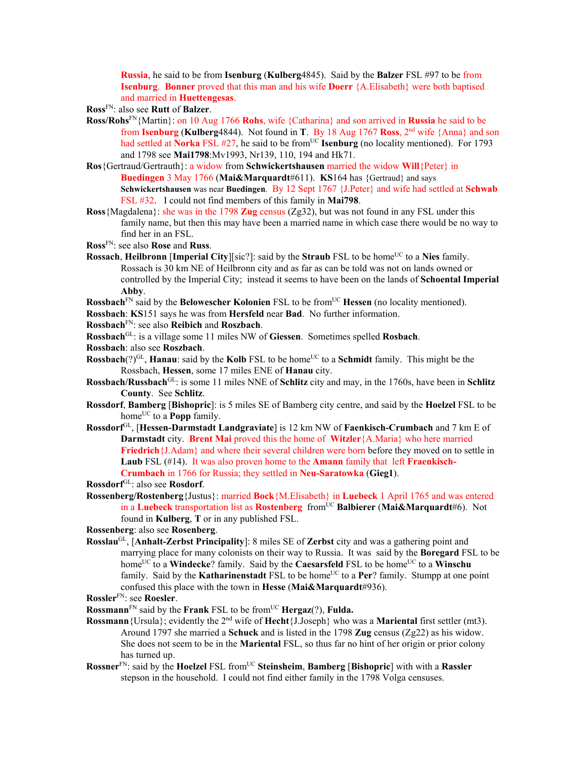**Russia**, he said to be from **Isenburg** (**Kulberg**4845). Said by the **Balzer** FSL #97 to be from **Isenburg**. **Bonner** proved that this man and his wife **Doerr** {A.Elisabeth} were both baptised and married in **Huettengesas**.

**Ross**FN: also see **Rutt** of **Balzer**.

- **Ross/Rohs**FN{Martin}: on 10 Aug 1766 **Rohs**, wife {Catharina} and son arrived in **Russia** he said to be from **Isenburg** (**Kulberg**4844). Not found in **T**. By 18 Aug 1767 **Ross**, 2nd wife {Anna} and son had settled at **Norka** FSL #27, he said to be from<sup>UC</sup> **Isenburg** (no locality mentioned). For 1793 and 1798 see **Mai1798**:Mv1993, Nr139, 110, 194 and Hk71.
- **Ros**{Gertraud/Gertrauth}: a widow from **Schwickertshausen** married the widow **Will**{Peter} in **Buedingen** 3 May 1766 (**Mai&Marquardt**#611). **KS**164 has {Gertraud} and says **Schwickertshausen** was near **Buedingen**. By 12 Sept 1767 {J.Peter} and wife had settled at **Schwab** FSL #32. I could not find members of this family in **Mai798**.
- **Ross**{Magdalena}: she was in the 1798 **Zug** census (Zg32), but was not found in any FSL under this family name, but then this may have been a married name in which case there would be no way to find her in an FSL.
- **Ross**FN: see also **Rose** and **Russ**.
- **Rossach, Heilbronn [Imperial City**][sic?]: said by the **Straub** FSL to be home<sup>UC</sup> to a Nies family. Rossach is 30 km NE of Heilbronn city and as far as can be told was not on lands owned or controlled by the Imperial City; instead it seems to have been on the lands of **Schoental Imperial Abby**.
- **Rossbach**<sup>FN</sup> said by the **Belowescher Kolonien** FSL to be from<sup>UC</sup> **Hessen** (no locality mentioned).
- **Rossbach**: **KS**151 says he was from **Hersfeld** near **Bad**. No further information.
- **Rossbach**FN: see also **Reibich** and **Roszbach**.
- **Rossbach**GL: is a village some 11 miles NW of **Giessen**. Sometimes spelled **Rosbach**.
- **Rossbach**: also see **Roszbach**.
- **Rossbach**(?)<sup>GL</sup>, **Hanau**: said by the **Kolb** FSL to be home<sup>UC</sup> to a **Schmidt** family. This might be the Rossbach, **Hessen**, some 17 miles ENE of **Hanau** city.
- **Rossbach/Russbach**GL: is some 11 miles NNE of **Schlitz** city and may, in the 1760s, have been in **Schlitz County**. See **Schlitz**.
- **Rossdorf**, **Bamberg** [**Bishopric**]: is 5 miles SE of Bamberg city centre, and said by the **Hoelzel** FSL to be home<sup>UC</sup> to a **Popp** family.
- **Rossdorf**GL, [**Hessen-Darmstadt Landgraviate**] is 12 km NW of **Faenkisch-Crumbach** and 7 km E of **Darmstadt** city. **Brent Mai** proved this the home of **Witzler**{A.Maria} who here married **Friedrich** {J.Adam} and where their several children were born before they moved on to settle in **Laub** FSL (#14). It was also proven home to the **Amann** family that left **Fraenkisch-Crumbach** in 1766 for Russia; they settled in **Neu-Saratowka** (**Gieg1**).
- **Rossdorf**GL: also see **Rosdorf**.
- **Rossenberg/Rostenberg**{Justus}: married **Bock**{M.Elisabeth} in **Luebeck** 1 April 1765 and was entered in a Luebeck transportation list as Rostenberg from<sup>UC</sup> Balbierer (Mai&Marquardt#6). Not found in **Kulberg**, **T** or in any published FSL.

**Rossenberg**: also see **Rosenberg**.

- **Rosslau**GL, [**Anhalt-Zerbst Principality**]: 8 miles SE of **Zerbst** city and was a gathering point and marrying place for many colonists on their way to Russia. It was said by the **Boregard** FSL to be home<sup>UC</sup> to a **Windecke**? family. Said by the **Caesarsfeld** FSL to be home<sup>UC</sup> to a **Winschu** family. Said by the **Katharinenstadt** FSL to be home<sup>UC</sup> to a **Per**? family. Stumpp at one point confused this place with the town in **Hesse** (**Mai&Marquardt**#936).
- **Rossler**FN: see **Roesler**.

**Rossmann**FN said by the **Frank** FSL to be fromUC **Hergaz**(?), **Fulda.** 

- **Rossmann**{Ursula}; evidently the 2nd wife of **Hecht**{J.Joseph} who was a **Mariental** first settler (mt3). Around 1797 she married a **Schuck** and is listed in the 1798 **Zug** census (Zg22) as his widow. She does not seem to be in the **Mariental** FSL, so thus far no hint of her origin or prior colony has turned up.
- **Rossner**FN: said by the **Hoelzel** FSL fromUC **Steinsheim**, **Bamberg** [**Bishopric**] with with a **Rassler** stepson in the household. I could not find either family in the 1798 Volga censuses.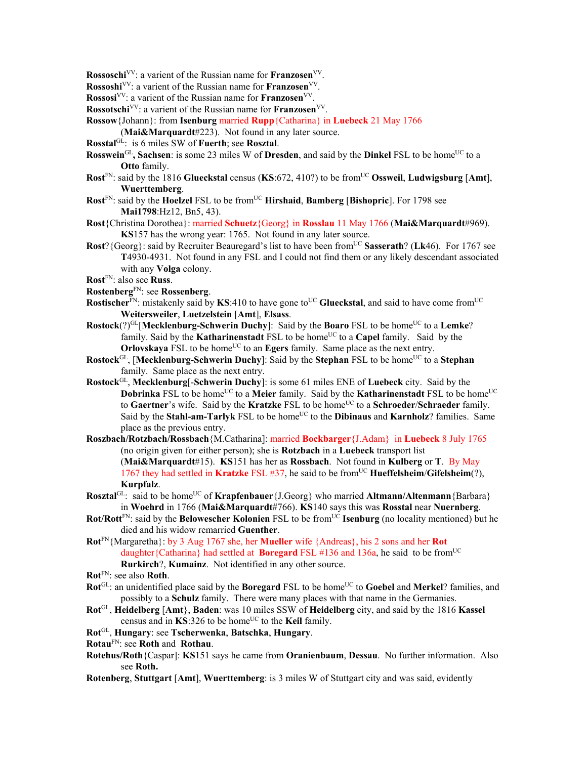- **Rossoschi**<sup>VV</sup>: a varient of the Russian name for **Franzosen**<sup>VV</sup>.
- **Rossoshi**VV: a varient of the Russian name for **Franzosen**VV.
- **Rossosi**VV: a varient of the Russian name for **Franzosen**VV.
- **Rossotschi**<sup>VV</sup>: a varient of the Russian name for **Franzosen**<sup>VV</sup>.
- **Rossow**{Johann}: from **Isenburg** married **Rupp**{Catharina} in **Luebeck** 21 May 1766
	- (**Mai&Marquardt**#223). Not found in any later source.
- **Rosstal**GL: is 6 miles SW of **Fuerth**; see **Rosztal**.
- **Rosswein**<sup>GL</sup>, Sachsen: is some 23 miles W of **Dresden**, and said by the **Dinkel** FSL to be home<sup>UC</sup> to a **Otto** family.
- **Rost**<sup>FN</sup>: said by the 1816 **Glueckstal** census (**KS**:672, 410?) to be from<sup>UC</sup> Ossweil, **Ludwigsburg** [Amt], **Wuerttemberg**.
- **Rost**<sup>FN</sup>: said by the **Hoelzel** FSL to be from<sup>UC</sup> **Hirshaid**, **Bamberg** [Bishopric]. For 1798 see **Mai1798**:Hz12, Bn5, 43).
- **Rost**{Christina Dorothea}: married **Schuetz**{Georg} in **Rosslau** 11 May 1766 (**Mai&Marquardt**#969). **KS**157 has the wrong year: 1765. Not found in any later source.
- **Rost**? {Georg}: said by Recruiter Beauregard's list to have been from<sup>UC</sup> Sasserath? (Lk46). For 1767 see **T**4930-4931. Not found in any FSL and I could not find them or any likely descendant associated with any **Volga** colony.
- **Rost**FN: also see **Russ**.
- **Rostenberg**FN: see **Rossenberg**.
- **Rostischer**<sup>FN</sup>: mistakenly said by **KS**:410 to have gone to<sup>UC</sup> Glueckstal, and said to have come from<sup>UC</sup> **Weitersweiler**, **Luetzelstein** [**Amt**], **Elsass**.
- **Rostock**(?)<sup>GL</sup>[Mecklenburg-Schwerin Duchy]: Said by the Boaro FSL to be home<sup>UC</sup> to a Lemke? family. Said by the **Katharinenstadt** FSL to be home<sup>UC</sup> to a **Capel** family. Said by the **Orlovskaya** FSL to be home<sup>UC</sup> to an **Egers** family. Same place as the next entry.
- **Rostock**<sup>GL</sup>, [Mecklenburg-Schwerin Duchy]: Said by the Stephan FSL to be home<sup>UC</sup> to a Stephan family. Same place as the next entry.
- **Rostock**GL, **Mecklenburg**[-**Schwerin Duchy**]: is some 61 miles ENE of **Luebeck** city. Said by the **Dobrinka** FSL to be home<sup>UC</sup> to a **Meier** family. Said by the **Katharinenstadt** FSL to be home<sup>UC</sup> to Gaertner's wife. Said by the Kratzke FSL to be home<sup>UC</sup> to a Schroeder/Schraeder family. Said by the **Stahl-am-Tarlyk** FSL to be home<sup>UC</sup> to the **Dibinaus** and **Karnholz**? families. Same place as the previous entry.
- **Roszbach/Rotzbach/Rossbach**{M.Catharina]: married **Bockbarger**{J.Adam} in **Luebeck** 8 July 1765 (no origin given for either person); she is **Rotzbach** in a **Luebeck** transport list (**Mai&Marquardt**#15). **KS**151 has her as **Rossbach**. Not found in **Kulberg** or **T**. By May 1767 they had settled in Kratzke FSL #37, he said to be from<sup>UC</sup> Hueffelsheim/Gifelsheim(?), **Kurpfalz**.
- **Rosztal**<sup>GL</sup>: said to be home<sup>UC</sup> of **Krapfenbauer**{J.Georg} who married **Altmann/Altenmann**{Barbara} in **Woehrd** in 1766 (**Mai&Marquardt**#766). **KS**140 says this was **Rosstal** near **Nuernberg**.
- **Rot/Rott**FN: said by the **Belowescher Kolonien** FSL to be fromUC **Isenburg** (no locality mentioned) but he died and his widow remarried **Guenther**.
- **Rot**FN{Margaretha}: by 3 Aug 1767 she, her **Mueller** wife {Andreas}, his 2 sons and her **Rot**  daughter{Catharina} had settled at **Boregard** FSL #136 and 136a, he said to be from<sup>UC</sup> **Rurkirch**?, **Kumainz**. Not identified in any other source.
- **Rot**FN: see also **Roth**.
- Rot<sup>GL</sup>: an unidentified place said by the Boregard FSL to be home<sup>UC</sup> to Goebel and Merkel? families, and possibly to a **Schulz** family. There were many places with that name in the Germanies.
- **Rot**GL, **Heidelberg** [**Amt**}, **Baden**: was 10 miles SSW of **Heidelberg** city, and said by the 1816 **Kassel** census and in **KS**:326 to be home<sup>UC</sup> to the **Keil** family.
- **Rot**GL, **Hungary**: see **Tscherwenka**, **Batschka**, **Hungary**.
- **Rotau**FN: see **Roth** and **Rothau**.
- **Rotehus/Roth**{Caspar]: **KS**151 says he came from **Oranienbaum**, **Dessau**. No further information. Also see **Roth.**
- **Rotenberg**, **Stuttgart** [**Amt**], **Wuerttemberg**: is 3 miles W of Stuttgart city and was said, evidently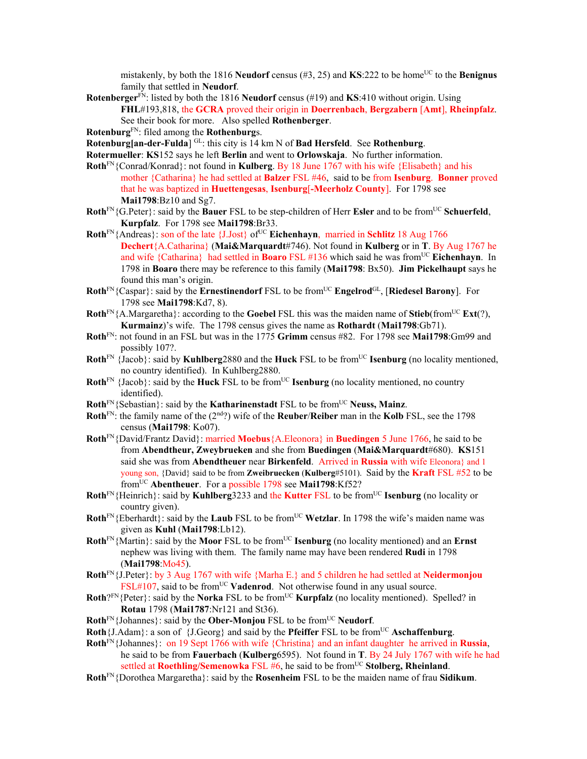mistakenly, by both the 1816 **Neudorf** census  $(\#3, 25)$  and **KS**:222 to be home<sup>UC</sup> to the **Benignus** family that settled in **Neudorf**.

**Rotenberger**FN: listed by both the 1816 **Neudorf** census (#19) and **KS**:410 without origin. Using **FHL**#193,818, the **GCRA** proved their origin in **Doerrenbach**, **Bergzabern** [**Amt**], **Rheinpfalz**. See their book for more. Also spelled **Rothenberger**.

**Rotenburg**FN: filed among the **Rothenburg**s.

**Rotenburg[an-der-Fulda**] GL: this city is 14 km N of **Bad Hersfeld**. See **Rothenburg**.

- **Rotermueller**: **KS**152 says he left **Berlin** and went to **Orlowskaja**. No further information.
- **Roth**FN{Conrad/Konrad}: not found in **Kulberg**. By 18 June 1767 with his wife {Elisabeth} and his mother {Catharina} he had settled at **Balzer** FSL #46, said to be from **Isenburg**. **Bonner** proved that he was baptized in **Huettengesas**, **Isenburg**[**-Meerholz County**]. For 1798 see **Mai1798**:Bz10 and Sg7.
- **Roth**<sup>FN</sup>{G.Peter}: said by the **Bauer** FSL to be step-children of Herr **Esler** and to be from<sup>UC</sup> **Schuerfeld**, **Kurpfalz**. For 1798 see **Mai1798**:Br33.
- **Roth**<sup>FN</sup>{Andreas}: son of the late {J.Jost} of<sup>UC</sup> **Eichenhayn**, married in **Schlitz** 18 Aug 1766 **Dechert**{A.Catharina} (**Mai&Marquardt**#746). Not found in **Kulberg** or in **T**. By Aug 1767 he and wife {Catharina} had settled in **Boaro** FSL #136 which said he was fromUC **Eichenhayn**. In 1798 in **Boaro** there may be reference to this family (**Mai1798**: Bx50). **Jim Pickelhaupt** says he found this man's origin.
- **Roth**FN{Caspar}: said by the **Ernestinendorf** FSL to be fromUC **Engelrod**GL, [**Riedesel Barony**]. For 1798 see **Mai1798**:Kd7, 8).
- **Roth**<sup>FN</sup>{A.Margaretha}: according to the **Goebel** FSL this was the maiden name of **Stieb**(from<sup>UC</sup> **Ext**(?), **Kurmainz**)'s wife. The 1798 census gives the name as **Rothardt** (**Mai1798**:Gb71).
- **Roth**FN: not found in an FSL but was in the 1775 **Grimm** census #82. For 1798 see **Mai1798**:Gm99 and possibly 107?.
- **Roth**<sup>FN</sup>  $\{Jacob\}$ : said by **Kuhlberg**2880 and the **Huck** FSL to be from<sup>UC</sup> **Isenburg** (no locality mentioned, no country identified). In Kuhlberg2880.
- **Roth**<sup>FN</sup> {Jacob}: said by the **Huck** FSL to be from<sup>UC</sup> **Isenburg** (no locality mentioned, no country identified).
- **Roth**<sup>FN</sup>{Sebastian}: said by the **Katharinenstadt** FSL to be from<sup>UC</sup> **Neuss, Mainz**.
- **Roth**FN: the family name of the (2nd?) wife of the **Reuber**/**Reiber** man in the **Kolb** FSL, see the 1798 census (**Mai1798**: Ko07).
- **Roth**FN{David/Frantz David}: married **Moebus**{A.Eleonora} in **Buedingen** 5 June 1766, he said to be from **Abendtheur, Zweybrueken** and she from **Buedingen** (**Mai&Marquardt**#680). **KS**151 said she was from **Abendtheuer** near **Birkenfeld**. Arrived in **Russia** with wife Eleonora} and 1 young son, {David} said to be from **Zweibruecken** (**Kulberg**#5101). Said by the **Kraft** FSL #52 to be fromUC **Abentheuer**. For a possible 1798 see **Mai1798**:Kf52?
- **Roth**<sup>FN</sup>{Heinrich}: said by **Kuhlberg**3233 and the **Kutter** FSL to be from<sup>UC</sup> **Isenburg** (no locality or country given).
- **Roth**<sup>FN</sup>{Eberhardt}: said by the **Laub** FSL to be from<sup>UC</sup> **Wetzlar**. In 1798 the wife's maiden name was given as **Kuhl** (**Mai1798**:Lb12).
- **Roth**<sup>FN</sup>{Martin}: said by the **Moor** FSL to be from<sup>UC</sup> **Isenburg** (no locality mentioned) and an **Ernst** nephew was living with them. The family name may have been rendered **Rudi** in 1798 (**Mai1798**:Mo45).
- **Roth**FN{J.Peter}: by 3 Aug 1767 with wife {Marha E.} and 5 children he had settled at **Neidermonjou**  $FSL#107$ , said to be from<sup>UC</sup> **Vadenrod**. Not otherwise found in any usual source.
- **Roth**?FN{Peter}: said by the **Norka** FSL to be from<sup>UC</sup> **Kurpfalz** (no locality mentioned). Spelled? in **Rotau** 1798 (**Mai1787**:Nr121 and St36).
- **Roth**<sup>FN</sup>{Johannes}: said by the **Ober-Monjou** FSL to be from<sup>UC</sup> **Neudorf**.
- **Roth** ${J.Adam}$ : a son of  ${J.Georg}$  and said by the **Pfeiffer** FSL to be from<sup>UC</sup> **Aschaffenburg**.
- **Roth**FN{Johannes}: on 19 Sept 1766 with wife {Christina} and an infant daughter he arrived in **Russia**, he said to be from **Fauerbach** (**Kulberg**6595). Not found in **T**. By 24 July 1767 with wife he had settled at **Roethling/Semenowka** FSL #6, he said to be from<sup>UC</sup> **Stolberg, Rheinland**.
- **Roth**FN{Dorothea Margaretha}: said by the **Rosenheim** FSL to be the maiden name of frau **Sidikum**.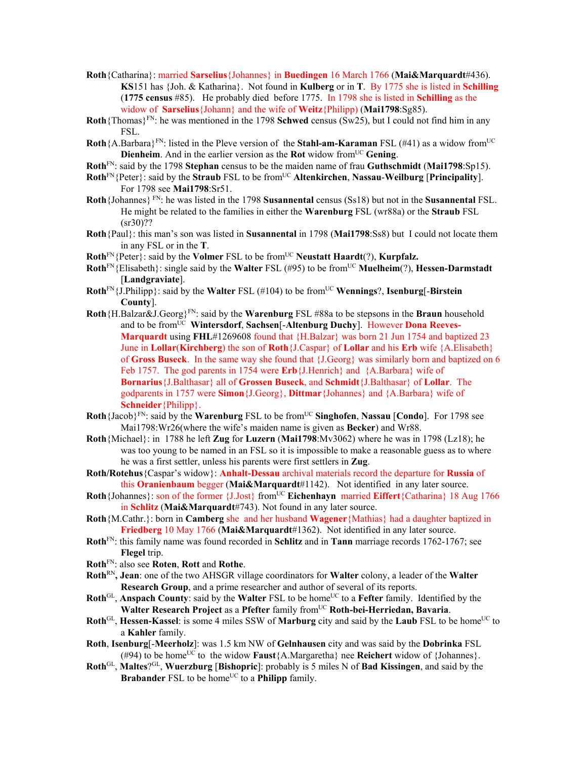- **Roth**{Catharina}: married **Sarselius**{Johannes} in **Buedingen** 16 March 1766 (**Mai&Marquardt**#436). **KS**151 has {Joh. & Katharina}. Not found in **Kulberg** or in **T**. By 1775 she is listed in **Schilling** (**1775 census** #85). He probably died before 1775. In 1798 she is listed in **Schilling** as the widow of **Sarselius**{Johann} and the wife of **Weitz**{Philipp) (**Mai1798**:Sg85).
- **Roth**{Thomas}<sup>FN</sup>: he was mentioned in the 1798 **Schwed** census (Sw25), but I could not find him in any FSL.
- **Roth**{A.Barbara}<sup>FN</sup>: listed in the Pleve version of the **Stahl-am-Karaman** FSL (#41) as a widow from<sup>UC</sup> **Dienheim**. And in the earlier version as the **Rot** widow from<sup>UC</sup> Gening.
- **Roth**FN: said by the 1798 **Stephan** census to be the maiden name of frau **Guthschmidt** (**Mai1798**:Sp15).
- **Roth**<sup>FN</sup>{Peter}: said by the **Straub** FSL to be from<sup>UC</sup> **Altenkirchen**, **Nassau-Weilburg** [**Principality**]. For 1798 see **Mai1798**:Sr51.
- **Roth**{Johannes} FN: he was listed in the 1798 **Susannental** census (Ss18) but not in the **Susannental** FSL. He might be related to the families in either the **Warenburg** FSL (wr88a) or the **Straub** FSL  $(sr30)$ ??
- **Roth**{Paul}: this man's son was listed in **Susannental** in 1798 (**Mai1798**:Ss8) but I could not locate them in any FSL or in the **T**.
- $Roth<sup>FN</sup>$ {Peter}: said by the **Volmer** FSL to be from<sup>UC</sup> **Neustatt Haardt**(?), **Kurpfalz.**
- **Roth**FN{Elisabeth}: single said by the **Walter** FSL (#95) to be fromUC **Muelheim**(?), **Hessen-Darmstadt** [**Landgraviate**].
- **Roth** $F_N$ {J.Philipp}: said by the **Walter** FSL (#104) to be from<sup>UC</sup> **Wennings**?, **Isenburg**[-**Birstein County**].
- **Roth**{H.Balzar&J.Georg}FN: said by the **Warenburg** FSL #88a to be stepsons in the **Braun** household and to be from<sup>UC</sup> Wintersdorf, Sachsen<sup>[</sup>-Altenburg Duchy]. However **Dona Reeves-Marquardt** using **FHL**#1269608 found that {H.Balzar} was born 21 Jun 1754 and baptized 23 June in **Lollar**(**Kirchberg**) the son of **Roth**{J.Caspar} of **Lollar** and his **Erb** wife {A.Elisabeth} of **Gross Buseck**. In the same way she found that {J.Georg} was similarly born and baptized on 6 Feb 1757. The god parents in 1754 were **Erb**{J.Henrich} and {A.Barbara} wife of **Bornarius**{J.Balthasar} all of **Grossen Buseck**, and **Schmidt**{J.Balthasar} of **Lollar**. The godparents in 1757 were **Simon**{J.Georg}, **Dittmar**{Johannes} and {A.Barbara} wife of **Schneider**{Philipp}.
- **Roth**{Jacob}FN: said by the **Warenburg** FSL to be fromUC **Singhofen**, **Nassau** [**Condo**]. For 1798 see Mai1798:Wr26(where the wife's maiden name is given as **Becker**) and Wr88.
- **Roth**{Michael}: in 1788 he left **Zug** for **Luzern** (**Mai1798**:Mv3062) where he was in 1798 (Lz18); he was too young to be named in an FSL so it is impossible to make a reasonable guess as to where he was a first settler, unless his parents were first settlers in **Zug**.
- **Roth/Rotehus**{Caspar's widow}: **Anhalt-Dessau** archival materials record the departure for **Russia** of this **Oranienbaum** begger (**Mai&Marquardt**#1142). Not identified in any later source.
- **Roth**{Johannes}: son of the former {J.Jost} from<sup>UC</sup> **Eichenhayn** married **Eiffert**{Catharina} 18 Aug 1766 in **Schlitz** (**Mai&Marquardt**#743). Not found in any later source.
- **Roth**{M.Cathr.}: born in **Camberg** she and her husband **Wagener**{Mathias} had a daughter baptized in **Friedberg** 10 May 1766 (**Mai&Marquardt**#1362). Not identified in any later source.
- **Roth**FN: this family name was found recorded in **Schlitz** and in **Tann** marriage records 1762-1767; see **Flegel** trip.
- **Roth**FN: also see **Roten**, **Rott** and **Rothe**.
- **Roth**RN**, Jean**: one of the two AHSGR village coordinators for **Walter** colony, a leader of the **Walter Research Group**, and a prime researcher and author of several of its reports.
- Roth<sup>GL</sup>, Anspach County: said by the Walter FSL to be home<sup>UC</sup> to a Fefter family. Identified by the **Walter Research Project** as a Pfefter family from<sup>UC</sup> Roth-bei-Herriedan, Bavaria.
- **Roth**<sup>GL</sup>, **Hessen-Kassel**: is some 4 miles SSW of **Marburg** city and said by the **Laub** FSL to be home<sup>UC</sup> to a **Kahler** family.
- **Roth**, **Isenburg**[-**Meerholz**]: was 1.5 km NW of **Gelnhausen** city and was said by the **Dobrinka** FSL (#94) to be home<sup>UC</sup> to the widow **Faust** ${A.Margaretha}$  nee **Reichert** widow of  ${Johannes}$ .
- **Roth**GL, **Maltes**?GL, **Wuerzburg** [**Bishopric**]: probably is 5 miles N of **Bad Kissingen**, and said by the **Brabander** FSL to be home<sup>UC</sup> to a **Philipp** family.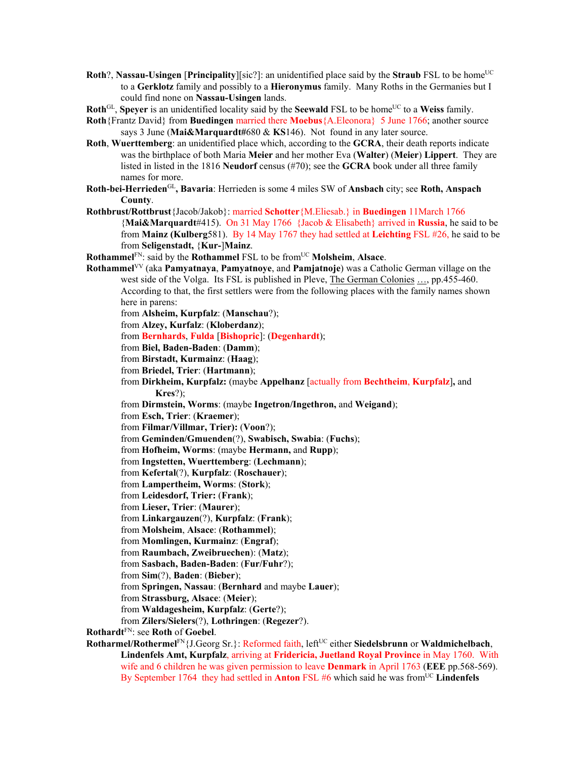- **Roth**?, **Nassau-Usingen** [**Principality**][sic?]: an unidentified place said by the **Straub** FSL to be home<sup>UC</sup> to a **Gerklotz** family and possibly to a **Hieronymus** family. Many Roths in the Germanies but I could find none on **Nassau-Usingen** lands.
- **Roth**<sup>GL</sup>, **Speyer** is an unidentified locality said by the **Seewald** FSL to be home<sup>UC</sup> to a **Weiss** family.
- **Roth**{Frantz David} from **Buedingen** married there **Moebus**{A.Eleonora} 5 June 1766; another source says 3 June (**Mai&Marquardt#**680 & **KS**146). Not found in any later source.
- **Roth**, **Wuerttemberg**: an unidentified place which, according to the **GCRA**, their death reports indicate was the birthplace of both Maria **Meier** and her mother Eva (**Walter**) (**Meier**) **Lippert**. They are listed in listed in the 1816 **Neudorf** census (#70); see the **GCRA** book under all three family names for more.
- **Roth-bei-Herrieden**GL**, Bavaria**: Herrieden is some 4 miles SW of **Ansbach** city; see **Roth, Anspach County**.
- **Rothbrust/Rottbrust**{Jacob/Jakob}: married **Schotter**{M.Eliesab.} in **Buedingen** 11March 1766 {**Mai&Marquardt**#415). On 31 May 1766 {Jacob & Elisabeth} arrived in **Russia**, he said to be from **Mainz (Kulberg**581). By 14 May 1767 they had settled at **Leichting** FSL #26, he said to be from **Seligenstadt,** {**Kur-**]**Mainz**.

**Rothammel**<sup>FN</sup>: said by the **Rothammel** FSL to be from<sup>UC</sup> **Molsheim**, **Alsace**.

**Rothammel**VV (aka **Pamyatnaya**, **Pamyatnoye**, and **Pamjatnoje**) was a Catholic German village on the west side of the Volga. Its FSL is published in Pleve, The German Colonies ..., pp.455-460. According to that, the first settlers were from the following places with the family names shown here in parens: from **Alsheim, Kurpfalz**: (**Manschau**?); from **Alzey, Kurfalz**: (**Kloberdanz**); from **Bernhards**, **Fulda** [**Bishopric**]: (**Degenhardt**); from **Biel, Baden-Baden**: (**Damm**); from **Birstadt, Kurmainz**: (**Haag**); from **Briedel, Trier**: (**Hartmann**); from **Dirkheim, Kurpfalz:** (maybe **Appelhanz** [actually from **Bechtheim**, **Kurpfalz**]**,** and **Kres**?); from **Dirmstein, Worms**: (maybe **Ingetron/Ingethron,** and **Weigand**); from **Esch, Trier**: (**Kraemer**); from **Filmar/Villmar, Trier):** (**Voon**?); from **Geminden/Gmuenden**(?), **Swabisch, Swabia**: (**Fuchs**); from **Hofheim, Worms**: (maybe **Hermann,** and **Rupp**); from **Ingstetten, Wuerttemberg**: (**Lechmann**); from **Kefertal**(?), **Kurpfalz**: (**Roschauer**); from **Lampertheim, Worms**: (**Stork**); from **Leidesdorf, Trier:** (**Frank**); from **Lieser, Trier**: (**Maurer**); from **Linkargauzen**(?), **Kurpfalz**: (**Frank**); from **Molsheim**, **Alsace**: (**Rothammel**); from **Momlingen, Kurmainz**: (**Engraf**); from **Raumbach, Zweibruechen**): (**Matz**); from **Sasbach, Baden-Baden**: (**Fur/Fuhr**?); from **Sim**(?), **Baden**: (**Bieber**); from **Springen, Nassau**: (**Bernhard** and maybe **Lauer**); from **Strassburg, Alsace**: (**Meier**); from **Waldagesheim, Kurpfalz**: (**Gerte**?); from **Zilers/Sielers**(?), **Lothringen**: (**Regezer**?). **Rothardt**FN: see **Roth** of **Goebel**.

Rotharmel/Rothermel<sup>FN</sup>{J.Georg Sr.}: Reformed faith, left<sup>UC</sup> either Siedelsbrunn or Waldmichelbach, **Lindenfels Amt, Kurpfalz**, arriving at **Fridericia, Juetland Royal Province** in May 1760. With wife and 6 children he was given permission to leave **Denmark** in April 1763 (**EEE** pp.568-569). By September 1764 they had settled in **Anton** FSL #6 which said he was from<sup>UC</sup> Lindenfels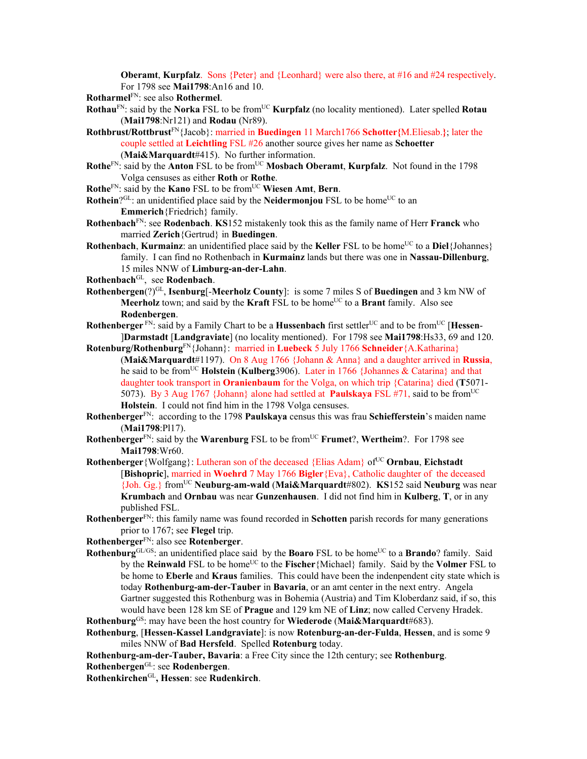**Oberamt, Kurpfalz**. Sons {Peter} and {Leonhard} were also there, at #16 and #24 respectively. For 1798 see **Mai1798**:An16 and 10.

**Rotharmel**FN: see also **Rothermel**.

- **Rothau**FN: said by the **Norka** FSL to be fromUC **Kurpfalz** (no locality mentioned). Later spelled **Rotau** (**Mai1798**:Nr121) and **Rodau** (Nr89).
- **Rothbrust/Rottbrust**FN{Jacob}: married in **Buedingen** 11 March1766 **Schotter{**M.Eliesab.**}**; later the couple settled at **Leichtling** FSL #26 another source gives her name as **Schoetter** (**Mai&Marquardt**#415). No further information.
- **Rothe**FN: said by the **Anton** FSL to be from<sup>UC</sup> **Mosbach Oberamt**, **Kurpfalz**. Not found in the 1798 Volga censuses as either **Roth** or **Rothe**.
- **Rothe**FN: said by the **Kano** FSL to be fromUC **Wiesen Amt**, **Bern**.

**Rothein**?GL: an unidentified place said by the **Neidermoniou** FSL to be home<sup>UC</sup> to an **Emmerich**{Friedrich} family.

- **Rothenbach**FN: see **Rodenbach**. **KS**152 mistakenly took this as the family name of Herr **Franck** who married **Zerich**{Gertrud} in **Buedingen**.
- **Rothenbach, Kurmainz**: an unidentified place said by the **Keller** FSL to be home<sup>UC</sup> to a **Diel**{Johannes} family. I can find no Rothenbach in **Kurmainz** lands but there was one in **Nassau-Dillenburg**, 15 miles NNW of **Limburg-an-der-Lahn**.
- **Rothenbach**GL, see **Rodenbach**.
- **Rothenbergen**(?)<sup>GL</sup>, **Isenburg**[-**Meerholz County**]: is some 7 miles S of **Buedingen** and 3 km NW of **Meerholz** town; and said by the **Kraft** FSL to be home<sup>UC</sup> to a **Brant** family. Also see **Rodenbergen**.
- **Rothenberger**<sup>FN</sup>: said by a Family Chart to be a **Hussenbach** first settler<sup>UC</sup> and to be from<sup>UC</sup> [**Hessen**-]**Darmstadt** [**Landgraviate**] (no locality mentioned). For 1798 see **Mai1798**:Hs33, 69 and 120.
- **Rotenburg/Rothenburg**FN{Johann}: married in **Luebeck** 5 July 1766 **Schneider**{A.Katharina} (**Mai&Marquardt**#1197). On 8 Aug 1766 {Johann & Anna} and a daughter arrived in **Russia**, he said to be fromUC **Holstein** (**Kulberg**3906). Later in 1766 {Johannes & Catarina} and that daughter took transport in **Oranienbaum** for the Volga, on which trip {Catarina} died (**T**5071- 5073). By 3 Aug 1767 {Johann} alone had settled at **Paulskaya** FSL #71, said to be fromUC **Holstein**. I could not find him in the 1798 Volga censuses.
- **Rothenberger**FN: according to the 1798 **Paulskaya** census this was frau **Schiefferstein**'s maiden name (**Mai1798**:Pl17).
- **Rothenberger**<sup>FN</sup>: said by the **Warenburg** FSL to be from<sup>UC</sup> **Frumet**?, **Wertheim**?. For 1798 see **Mai1798**:Wr60.
- **Rothenberger** {Wolfgang}: Lutheran son of the deceased {Elias Adam} of<sup>UC</sup> **Ornbau**, **Eichstadt** [**Bishopric**], married in **Woehrd** 7 May 1766 **Bigler**{Eva}, Catholic daughter of the deceased {Joh. Gg.} fromUC **Neuburg-am-wald** (**Mai&Marquardt**#802). **KS**152 said **Neuburg** was near **Krumbach** and **Ornbau** was near **Gunzenhausen**. I did not find him in **Kulberg**, **T**, or in any published FSL.
- **Rothenberger**FN: this family name was found recorded in **Schotten** parish records for many generations prior to 1767; see **Flegel** trip.
- **Rothenberger**FN: also see **Rotenberger**.
- **Rothenburg**GL/GS: an unidentified place said by the **Boaro** FSL to be home<sup>UC</sup> to a **Brando**? family. Said by the **Reinwald** FSL to be home<sup>UC</sup> to the **Fischer**{Michael} family. Said by the **Volmer** FSL to be home to **Eberle** and **Kraus** families. This could have been the indenpendent city state which is today **Rothenburg-am-der-Tauber** in **Bavaria**, or an amt center in the next entry. Angela Gartner suggested this Rothenburg was in Bohemia (Austria) and Tim Kloberdanz said, if so, this would have been 128 km SE of **Prague** and 129 km NE of **Linz**; now called Cerveny Hradek.

**Rothenburg**GS: may have been the host country for **Wiederode** (**Mai&Marquardt**#683).

**Rothenburg**, [**Hessen-Kassel Landgraviate**]: is now **Rotenburg-an-der-Fulda**, **Hessen**, and is some 9 miles NNW of **Bad Hersfeld**. Spelled **Rotenburg** today.

**Rothenburg-am-der-Tauber, Bavaria**: a Free City since the 12th century; see **Rothenburg**.

**Rothenbergen**GL: see **Rodenbergen**.

**Rothenkirchen**GL**, Hessen**: see **Rudenkirch**.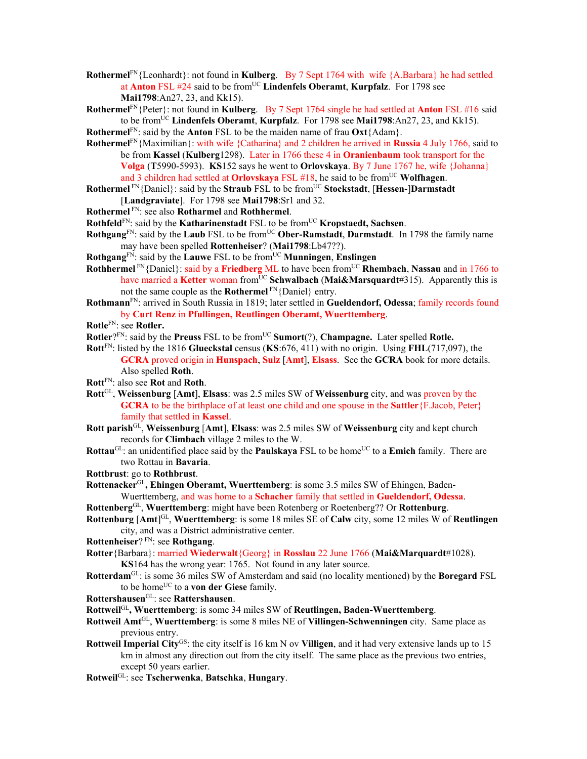- **Rothermel**FN{Leonhardt}: not found in **Kulberg**. By 7 Sept 1764 with wife {A.Barbara} he had settled at **Anton** FSL #24 said to be fromUC **Lindenfels Oberamt**, **Kurpfalz**.For 1798 see **Mai1798**:An27, 23, and Kk15).
- **Rothermel**FN{Peter}: not found in **Kulberg**. By 7 Sept 1764 single he had settled at **Anton** FSL #16 said to be fromUC **Lindenfels Oberamt**, **Kurpfalz**.For 1798 see **Mai1798**:An27, 23, and Kk15).
- **Rothermel**<sup>FN</sup>: said by the **Anton** FSL to be the maiden name of frau  $\text{Oxt}\$  {Adam}.
- **Rothermel**FN{Maximilian}: with wife {Catharina} and 2 children he arrived in **Russia** 4 July 1766, said to be from **Kassel** (**Kulberg**1298). Later in 1766 these 4 in **Oranienbaum** took transport for the **Volga** (**T**5990-5993). **KS**152 says he went to **Orlovskaya**. By 7 June 1767 he, wife {Johanna} and 3 children had settled at **Orlovskaya** FSL #18, he said to be from<sup>UC</sup> Wolfhagen.
- **Rothermel**<sup>FN</sup>{Daniel}: said by the **Straub** FSL to be from<sup>UC</sup> **Stockstadt**, [Hessen-]Darmstadt [**Landgraviate**]. For 1798 see **Mai1798**:Sr1 and 32.
- **Rothermel** FN: see also **Rotharmel** and **Rothhermel**.
- **Rothfeld**<sup>FN</sup>: said by the **Katharinenstadt** FSL to be from<sup>UC</sup> **Kropstaedt**, Sachsen.
- **Rothgang**<sup>FN</sup>: said by the **Laub** FSL to be from<sup>UC</sup> Ober-Ramstadt, Darmstadt. In 1798 the family name may have been spelled **Rottenheiser**? (**Mai1798**:Lb47??).
- **Rothgang**FN: said by the **Lauwe** FSL to be fromUC **Munningen**, **Enslingen**
- **Rothhermel** FN{Daniel}: said by a **Friedberg** ML to have been fromUC **Rhembach**, **Nassau** and in 1766 to have married a **Ketter** woman from<sup>UC</sup> **Schwalbach** (Mai&Marsquardt#315). Apparently this is not the same couple as the **Rothermel** FN{Daniel} entry.
- **Rothmann**FN: arrived in South Russia in 1819; later settled in **Gueldendorf, Odessa**; family records found by **Curt Renz** in **Pfullingen, Reutlingen Oberamt, Wuerttemberg**.
- **Rotle**FN: see **Rotler.**
- **Rotler**?FN: said by the **Preuss** FSL to be from<sup>UC</sup> **Sumort**(?), **Champagne.** Later spelled **Rotle.**
- **Rott**FN: listed by the 1816 **Glueckstal** census (**KS**:676, 411) with no origin. Using **FHL**(717,097), the **GCRA** proved origin in **Hunspach**, **Sulz** [**Amt**], **Elsass**. See the **GCRA** book for more details. Also spelled **Roth**.
- **Rott**FN: also see **Rot** and **Roth**.
- **Rott**GL, **Weissenburg** [**Amt**], **Elsass**: was 2.5 miles SW of **Weissenburg** city, and was proven by the **GCRA** to be the birthplace of at least one child and one spouse in the **Sattler**{F.Jacob, Peter} family that settled in **Kassel**.
- **Rott parish**GL, **Weissenburg** [**Amt**], **Elsass**: was 2.5 miles SW of **Weissenburg** city and kept church records for **Climbach** village 2 miles to the W.
- **Rottau**<sup>GL</sup>: an unidentified place said by the **Paulskaya** FSL to be home<sup>UC</sup> to a **Emich** family. There are two Rottau in **Bavaria**.
- **Rottbrust**: go to **Rothbrust**.
- **Rottenacker**GL**, Ehingen Oberamt, Wuerttemberg**: is some 3.5 miles SW of Ehingen, Baden-Wuerttemberg, and was home to a **Schacher** family that settled in **Gueldendorf, Odessa**.
- **Rottenberg**GL, **Wuerttemberg**: might have been Rotenberg or Roetenberg?? Or **Rottenburg**.
- Rottenburg [Amt]<sup>GL</sup>, Wuerttemberg: is some 18 miles SE of Calw city, some 12 miles W of Reutlingen city, and was a District administrative center.
- **Rottenheiser**? FN: see **Rothgang**.
- **Rotter**{Barbara}: married **Wiederwalt**{Georg} in **Rosslau** 22 June 1766 (**Mai&Marquardt**#1028).
- **KS**164 has the wrong year: 1765. Not found in any later source.
- **Rotterdam**GL: is some 36 miles SW of Amsterdam and said (no locality mentioned) by the **Boregard** FSL to be home<sup>UC</sup> to a **von der Giese** family.
- **Rottershausen**GL: see **Rattershausen**.
- **Rottweil**GL**, Wuerttemberg**: is some 34 miles SW of **Reutlingen, Baden-Wuerttemberg**.
- **Rottweil Amt**GL, **Wuerttemberg**: is some 8 miles NE of **Villingen-Schwenningen** city. Same place as previous entry.
- **Rottweil Imperial City**GS: the city itself is 16 km N ov **Villigen**, and it had very extensive lands up to 15 km in almost any direction out from the city itself. The same place as the previous two entries, except 50 years earlier.
- **Rotweil**GL: see **Tscherwenka**, **Batschka**, **Hungary**.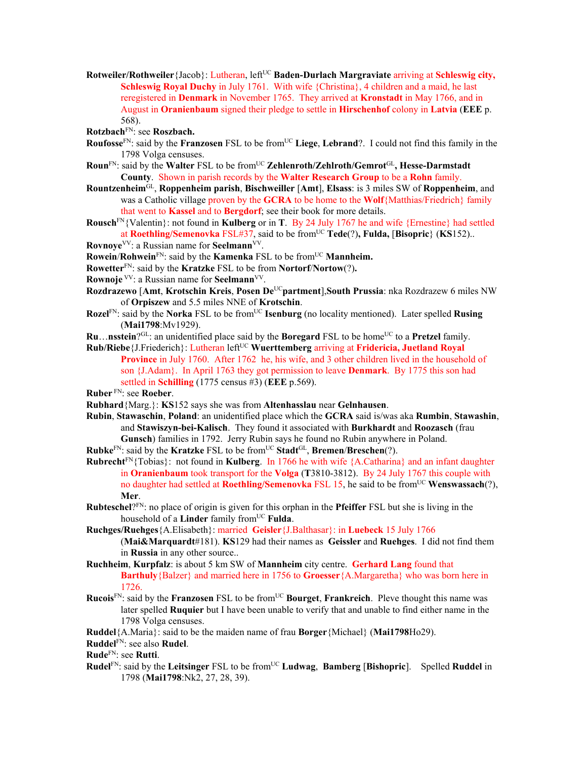- **Rotweiler/Rothweiler** {Jacob}: Lutheran, left<sup>UC</sup> **Baden-Durlach Margraviate** arriving at **Schleswig city, Schleswig Royal Duchy** in July 1761. With wife {Christina}, 4 children and a maid, he last reregistered in **Denmark** in November 1765. They arrived at **Kronstadt** in May 1766, and in August in **Oranienbaum** signed their pledge to settle in **Hirschenhof** colony in **Latvia** (**EEE** p. 568).
- **Rotzbach**FN: see **Roszbach.**
- **Roufosse**<sup>FN</sup>: said by the **Franzosen** FSL to be from<sup>UC</sup> Liege, Lebrand?. I could not find this family in the 1798 Volga censuses.
- Roun<sup>FN</sup>: said by the Walter FSL to be from<sup>UC</sup> Zehlenroth/Zehlroth/Gemrot<sup>GL</sup>, Hesse-Darmstadt **County**. Shown in parish records by the **Walter Research Group** to be a **Rohn** family.
- **Rountzenheim**GL, **Roppenheim parish**, **Bischweiller** [**Amt**], **Elsass**: is 3 miles SW of **Roppenheim**, and was a Catholic village proven by the **GCRA** to be home to the **Wolf**{Matthias/Friedrich} family that went to **Kassel** and to **Bergdorf**; see their book for more details.
- **Rousch**FN{Valentin}: not found in **Kulberg** or in **T**. By 24 July 1767 he and wife {Ernestine} had settled at **Roethling/Semenovka** FSL#37, said to be fromUC **Tede**(?)**, Fulda,** [**Bisopric**} (**KS**152)..
- **Rovnoye**<sup>VV</sup>: a Russian name for **Seelmann**<sup>VV</sup>.
- **Rowein/Rohwein**<sup>FN</sup>: said by the **Kamenka** FSL to be from<sup>UC</sup> **Mannheim.**
- **Rowetter**FN: said by the **Kratzke** FSL to be from **Nortorf**/**Nortow**(?)**.**
- **Rownoje** <sup>VV</sup>: a Russian name for **Seelmann**<sup>VV</sup>.
- **Rozdrazewo** [**Amt**, **Krotschin Kreis**, **Posen De**UC**partment**],**South Prussia**: nka Rozdrazew 6 miles NW of **Orpiszew** and 5.5 miles NNE of **Krotschin**.
- **Rozel**<sup>FN</sup>: said by the **Norka** FSL to be from<sup>UC</sup> **Isenburg** (no locality mentioned). Later spelled **Rusing** (**Mai1798**:Mv1929).
- **Ru...** nsstein?<sup>GL</sup>: an unidentified place said by the **Boregard** FSL to be home<sup>UC</sup> to a **Pretzel** family.
- Rub/Riebe<sup>{J</sup>.Friederich}: Lutheran left<sup>UC</sup> Wuerttemberg arriving at Fridericia, Juetland Royal **Province** in July 1760. After 1762 he, his wife, and 3 other children lived in the household of son {J.Adam}. In April 1763 they got permission to leave **Denmark**. By 1775 this son had settled in **Schilling** (1775 census #3) (**EEE** p.569).

**Ruber** FN: see **Roeber**.

- **Rubhard**{Marg.}: **KS**152 says she was from **Altenhasslau** near **Gelnhausen**.
- **Rubin**, **Stawaschin**, **Poland**: an unidentified place which the **GCRA** said is/was aka **Rumbin**, **Stawashin**, and **Stawiszyn-bei-Kalisch**. They found it associated with **Burkhardt** and **Roozasch** (frau **Gunsch**) families in 1792. Jerry Rubin says he found no Rubin anywhere in Poland.
- **Rubke**FN: said by the **Kratzke** FSL to be fromUC **Stadt**GL, **Bremen**/**Breschen**(?).
- **Rubrecht**FN{Tobias}:not found in **Kulberg**. In 1766 he with wife {A.Catharina} and an infant daughter in **Oranienbaum** took transport for the **Volga** (**T**3810-3812). By 24 July 1767 this couple with no daughter had settled at **Roethling/Semenovka** FSL 15, he said to be from<sup>UC</sup> **Wenswassach**(?), **Mer**.
- **Rubteschel**?FN: no place of origin is given for this orphan in the **Pfeiffer** FSL but she is living in the household of a **Linder** family from<sup>UC</sup> **Fulda**.
- **Ruchges/Ruehges**{A.Elisabeth}: married **Geisler**{J.Balthasar}: in **Luebeck** 15 July 1766 (**Mai&Marquardt**#181). **KS**129 had their names as **Geissler** and **Ruehges**. I did not find them
	- in **Russia** in any other source..
- **Ruchheim**, **Kurpfalz**: is about 5 km SW of **Mannheim** city centre. **Gerhard Lang** found that **Barthuly**{Balzer} and married here in 1756 to **Groesser**{A.Margaretha} who was born here in 1726.
- **Rucois**<sup>FN</sup>: said by the **Franzosen** FSL to be from<sup>UC</sup> **Bourget**, **Frankreich**. Pleve thought this name was later spelled **Ruquier** but I have been unable to verify that and unable to find either name in the 1798 Volga censuses.
- **Ruddel**{A.Maria}: said to be the maiden name of frau **Borger**{Michael} (**Mai1798**Ho29).
- **Ruddel**FN: see also **Rudel**.
- **Rude**FN: see **Rutti**.
- **Rudel**<sup>FN</sup>: said by the Leitsinger FSL to be from<sup>UC</sup> Ludwag, Bamberg [Bishopric]. Spelled Ruddel in 1798 (**Mai1798**:Nk2, 27, 28, 39).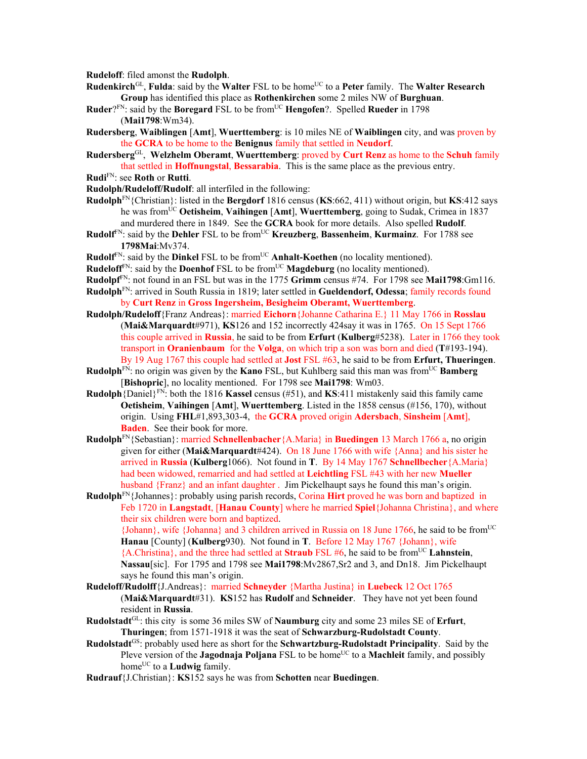**Rudeloff**: filed amonst the **Rudolph**.

- **Rudenkirch**<sup>GL</sup>, **Fulda**: said by the **Walter** FSL to be home<sup>UC</sup> to a Peter family. The **Walter Research Group** has identified this place as **Rothenkirchen** some 2 miles NW of **Burghuan**.
- **Ruder**?FN: said by the **Boregard** FSL to be fromUC **Hengofen**?. Spelled **Rueder** in 1798 (**Mai1798**:Wm34).
- **Rudersberg**, **Waiblingen** [**Amt**], **Wuerttemberg**: is 10 miles NE of **Waiblingen** city, and was proven by the **GCRA** to be home to the **Benignus** family that settled in **Neudorf**.
- **Rudersberg**GL, **Welzhelm Oberamt**, **Wuerttemberg**: proved by **Curt Renz** as home to the **Schuh** family that settled in **Hoffnungstal**, **Bessarabia**. This is the same place as the previous entry.
- **Rudi**FN: see **Roth** or **Rutti**.
- **Rudolph/Rudeloff/Rudolf**: all interfiled in the following:
- **Rudolph**FN{Christian}: listed in the **Bergdorf** 1816 census (**KS**:662, 411) without origin, but **KS**:412 says he was from<sup>UC</sup> Oetisheim, Vaihingen [Amt], Wuerttemberg, going to Sudak, Crimea in 1837 and murdered there in 1849. See the **GCRA** book for more details. Also spelled **Rudolf**.
- **Rudolf**FN: said by the **Dehler** FSL to be fromUC **Kreuzberg**, **Bassenheim**, **Kurmainz**. For 1788 see **1798Mai**:Mv374.
- **Rudolf**<sup>FN</sup>: said by the **Dinkel** FSL to be from<sup>UC</sup> **Anhalt-Koethen** (no locality mentioned).
- Rudeloff<sup>FN</sup>: said by the **Doenhof** FSL to be from<sup>UC</sup> Magdeburg (no locality mentioned).
- **Rudolpf**FN: not found in an FSL but was in the 1775 **Grimm** census #74. For 1798 see **Mai1798**:Gm116.
- **Rudolph**FN: arrived in South Russia in 1819; later settled in **Gueldendorf, Odessa**; family records found by **Curt Renz** in **Gross Ingersheim, Besigheim Oberamt, Wuerttemberg**.
- **Rudolph/Rudeloff**{Franz Andreas}: married **Eichorn**{Johanne Catharina E.} 11 May 1766 in **Rosslau** (**Mai&Marquardt**#971), **KS**126 and 152 incorrectly 424say it was in 1765. On 15 Sept 1766 this couple arrived in **Russia**, he said to be from **Erfurt** (**Kulberg**#5238). Later in 1766 they took transport in **Oranienbaum** for the **Volga**, on which trip a son was born and died (**T**#193-194). By 19 Aug 1767 this couple had settled at **Jost** FSL #63, he said to be from **Erfurt, Thueringen**.
- **Rudolph**<sup>FN</sup>: no origin was given by the **Kano** FSL, but Kuhlberg said this man was from<sup>UC</sup> **Bamberg** [**Bishopric**], no locality mentioned. For 1798 see **Mai1798**: Wm03.
- **Rudolph**{Daniel}FN: both the 1816 **Kassel** census (#51), and **KS**:411 mistakenly said this family came **Oetisheim**, **Vaihingen** [**Amt**], **Wuerttemberg**. Listed in the 1858 census (#156, 170), without origin. Using **FHL**#1,893,303-4, the **GCRA** proved origin **Adersbach**, **Sinsheim** [**Amt**], **Baden**. See their book for more.
- **Rudolph**FN{Sebastian}: married **Schnellenbacher**{A.Maria} in **Buedingen** 13 March 1766 a, no origin given for either (**Mai&Marquardt**#424). On 18 June 1766 with wife {Anna} and his sister he arrived in **Russia** (**Kulberg**1066). Not found in **T**. By 14 May 1767 **Schnellbecher**{A.Maria} had been widowed, remarried and had settled at **Leichtling** FSL #43 with her new **Mueller**  husband {Franz} and an infant daughter . Jim Pickelhaupt says he found this man's origin.
- **Rudolph**FN{Johannes}: probably using parish records, Corina **Hirt** proved he was born and baptized in Feb 1720 in **Langstadt**, [**Hanau County**] where he married **Spiel**{Johanna Christina}, and where their six children were born and baptized.

 ${Johnn}$ , wife  ${Johnna}$  and 3 children arrived in Russia on 18 June 1766, he said to be from<sup>UC</sup> **Hanau** [County] (**Kulberg**930). Not found in **T**. Before 12 May 1767 {Johann}, wife  ${A.Christina}$ , and the three had settled at **Straub** FSL #6, he said to be from<sup>UC</sup> **Lahnstein**, **Nassau**[sic]. For 1795 and 1798 see **Mai1798**:Mv2867,Sr2 and 3, and Dn18. Jim Pickelhaupt says he found this man's origin.

- **Rudeloff/Rudolff**{J.Andreas}: married **Schneyder** {Martha Justina} in **Luebeck** 12 Oct 1765 (**Mai&Marquardt**#31). **KS**152 has **Rudolf** and **Schneider**. They have not yet been found resident in **Russia**.
- **Rudolstadt**GL: this city is some 36 miles SW of **Naumburg** city and some 23 miles SE of **Erfurt**, **Thuringen**; from 1571-1918 it was the seat of **Schwarzburg-Rudolstadt County**.
- **Rudolstadt**GS: probably used here as short for the **Schwartzburg-Rudolstadt Principality**. Said by the Pleve version of the **Jagodnaja Poljana** FSL to be home<sup>UC</sup> to a **Machleit** family, and possibly home<sup>UC</sup> to a **Ludwig** family.
- **Rudrauf**{J.Christian}: **KS**152 says he was from **Schotten** near **Buedingen**.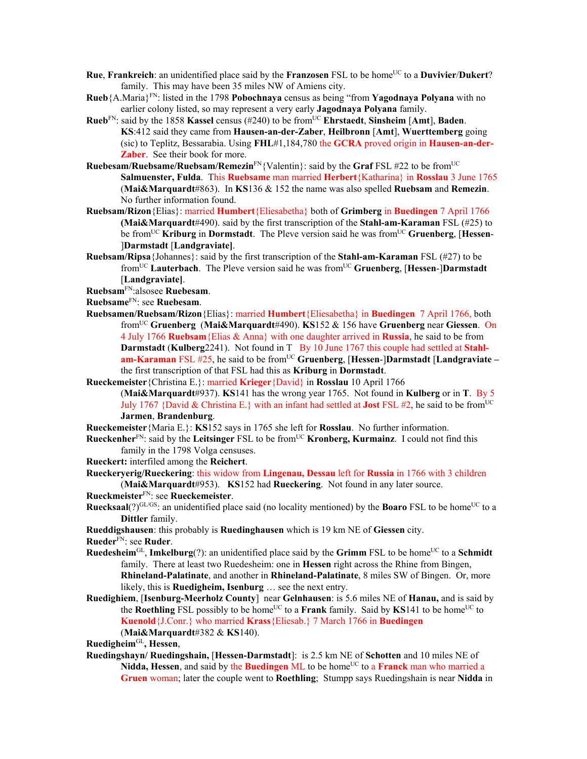- **Rue**, **Frankreich**: an unidentified place said by the **Franzosen** FSL to be home<sup>UC</sup> to a **Duvivier/Dukert**? family. This may have been 35 miles NW of Amiens city.
- **Rueb**{A.Maria}FN: listed in the 1798 **Pobochnaya** census as being "from **Yagodnaya Polyana** with no earlier colony listed, so may represent a very early **Jagodnaya Polyana** family.
- **Rueb**FN: said by the 1858 **Kassel** census (#240) to be fromUC **Ehrstaedt**, **Sinsheim** [**Amt**], **Baden**. **KS**:412 said they came from **Hausen-an-der-Zaber**, **Heilbronn** [**Amt**], **Wuerttemberg** going (sic) to Teplitz, Bessarabia. Using **FHL**#1,184,780 the **GCRA** proved origin in **Hausen-an-der-Zaber**. See their book for more.
- **Ruebesam/Ruebsame/Ruebsam/Remezin**FN{Valentin}: said by the **Graf** FSL #22 to be fromUC **Salmuenster, Fulda**. This **Ruebsame** man married **Herbert**{Katharina} in **Rosslau** 3 June 1765 (**Mai&Marquardt**#863). In **KS**136 & 152 the name was also spelled **Ruebsam** and **Remezin**. No further information found.
- **Ruebsam/Rizon**{Elias}: married **Humbert**{Eliesabetha} both of **Grimberg** in **Buedingen** 7 April 1766 **(Mai&Marquardt**#490). said by the first transcription of the **Stahl-am-Karaman** FSL (#25) to be fromUC **Kriburg** in **Dormstadt**. The Pleve version said he was fromUC **Gruenberg**, [**Hessen**- ]**Darmstadt** [**Landgraviate]**.
- **Ruebsam/Ripsa**{Johannes}: said by the first transcription of the **Stahl-am-Karaman** FSL (#27) to be fromUC **Lauterbach**. The Pleve version said he was fromUC **Gruenberg**, [**Hessen**-]**Darmstadt** [**Landgraviate]**.

**Ruebsam**FN:alsosee **Ruebesam**.

**Ruebsame**FN: see **Ruebesam**.

- **Ruebsamen/Ruebsam/Rizon**{Elias}: married **Humbert**{Eliesabetha} in **Buedingen** 7 April 1766, both fromUC **Gruenberg** (**Mai&Marquardt**#490). **KS**152 & 156 have **Gruenberg** near **Giessen**. On 4 July 1766 **Ruebsam**{Elias & Anna} with one daughter arrived in **Russia**, he said to be from **Darmstadt (Kulberg2241).** Not found in T By 10 June 1767 this couple had settled at Stahl**am-Karaman** FSL #25, he said to be from<sup>UC</sup> Gruenberg, [Hessen-]Darmstadt [Landgraviate – the first transcription of that FSL had this as **Kriburg** in **Dormstadt**.
- **Rueckemeister**{Christina E.}: married **Krieger**{David} in **Rosslau** 10 April 1766 (**Mai&Marquardt**#937). **KS**141 has the wrong year 1765. Not found in **Kulberg** or in **T**. By 5 July 1767 {David & Christina E.} with an infant had settled at **Jost** FSL #2, he said to be from<sup>UC</sup> **Jarmen**, **Brandenburg**.

**Rueckemeister**{Maria E.}: **KS**152 says in 1765 she left for **Rosslau**. No further information.

**Rueckenher**FN: said by the **Leitsinger** FSL to be fromUC **Kronberg, Kurmainz**. I could not find this family in the 1798 Volga censuses.

**Rueckert:** interfiled among the **Reichert**.

**Rueckeryerig/Rueckering**: this widow from **Lingenau, Dessau** left for **Russia** in 1766 with 3 children (**Mai&Marquardt**#953). **KS**152 had **Rueckering**. Not found in any later source.

- **Rueckmeister**FN: see **Rueckemeister**.
- **Ruecksaal**(?)<sup>GL/GS</sup>: an unidentified place said (no locality mentioned) by the **Boaro** FSL to be home<sup>UC</sup> to a **Dittler** family.

**Rueddigshausen**: this probably is **Ruedinghausen** which is 19 km NE of **Giessen** city.

**Rueder**FN: see **Ruder**.

- **Ruedesheim**<sup>GL</sup>, **Imkelburg**(?): an unidentified place said by the **Grimm** FSL to be home<sup>UC</sup> to a **Schmidt** family. There at least two Ruedesheim: one in **Hessen** right across the Rhine from Bingen, **Rhineland-Palatinate**, and another in **Rhineland-Palatinate**, 8 miles SW of Bingen. Or, more likely, this is **Ruedigheim, Isenburg** … see the next entry.
- **Ruedighiem**, [**Isenburg-Meerholz County**] near **Gelnhausen**: is 5.6 miles NE of **Hanau,** and is said by the **Roethling** FSL possibly to be home<sup>UC</sup> to a **Frank** family. Said by **KS**141 to be home<sup>UC</sup> to **Kuenold**{J.Conr.} who married **Krass**{Eliesab.} 7 March 1766 in **Buedingen**  (**Mai&Marquardt**#382 & **KS**140).
- **Ruedigheim**GL**, Hessen**,
- **Ruedingshayn/ Ruedingshain,** [**Hessen-Darmstadt**]: is 2.5 km NE of **Schotten** and 10 miles NE of **Nidda, Hessen**, and said by the **Buedingen** ML to be home<sup>UC</sup> to a **Franck** man who married a **Gruen** woman; later the couple went to **Roethling**; Stumpp says Ruedingshain is near **Nidda** in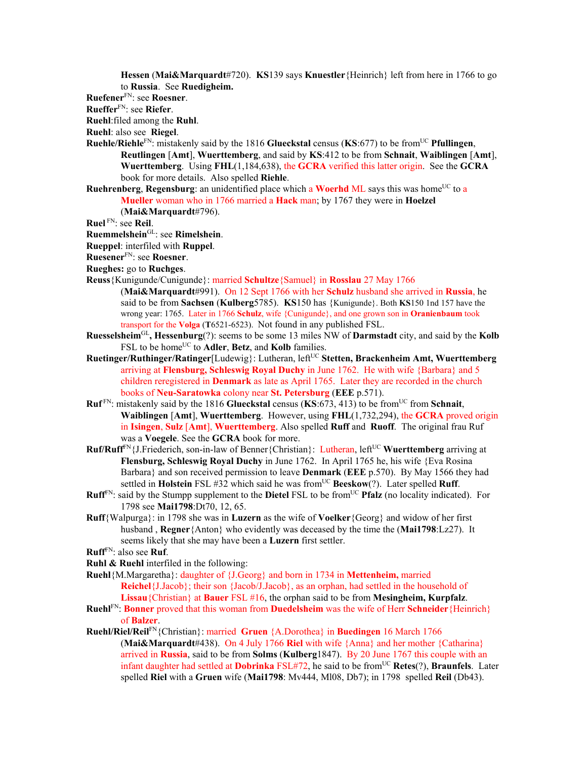**Hessen** (**Mai&Marquardt**#720). **KS**139 says **Knuestler**{Heinrich} left from here in 1766 to go to **Russia**. See **Ruedigheim.**

**Ruefener**FN: see **Roesner**.

**Rueffer**FN: see **Riefer**.

**Ruehl**:filed among the **Ruhl**.

**Ruehl**: also see **Riegel**.

**Ruehle/Riehle**<sup>FN</sup>: mistakenly said by the 1816 **Glueckstal** census (KS:677) to be from<sup>UC</sup> **Pfullingen**, **Reutlingen** [**Amt**], **Wuerttemberg**, and said by **KS**:412 to be from **Schnait**, **Waiblingen** [**Amt**], **Wuerttemberg**. Using **FHL**(1,184,638), the **GCRA** verified this latter origin. See the **GCRA** book for more details. Also spelled **Riehle**.

**Ruehrenberg, Regensburg**: an unidentified place which a **Woerhd** ML says this was home<sup>UC</sup> to a **Mueller** woman who in 1766 married a **Hack** man; by 1767 they were in **Hoelzel**

(**Mai&Marquardt**#796).

**Ruel** FN: see **Reil**.

- **Ruemmelshein**GL: see **Rimelshein**.
- **Rueppel**: interfiled with **Ruppel**.

**Ruesener**FN: see **Roesner**.

- **Rueghes:** go to **Ruchges**.
- **Reuss**{Kunigunde/Cunigunde}: married **Schultze**{Samuel} in **Rosslau** 27 May 1766
	- (**Mai&Marquardt**#991). On 12 Sept 1766 with her **Schulz** husband she arrived in **Russia**, he said to be from **Sachsen** (**Kulberg**5785). **KS**150 has {Kunigunde}. Both **KS**150 1nd 157 have the wrong year: 1765. Later in 1766 **Schulz**, wife {Cunigunde}, and one grown son in **Oranienbaum** took transport for the **Volga** (**T**6521-6523). Not found in any published FSL.
- **Ruesselsheim**GL**, Hessenburg**(?): seems to be some 13 miles NW of **Darmstadt** city, and said by the **Kolb**  FSL to be home<sup>UC</sup> to **Adler**, **Betz**, and **Kolb** families.
- **Ruetinger/Ruthinger/Ratinger**[Ludewig}: Lutheran, leftUC **Stetten, Brackenheim Amt, Wuerttemberg** arriving at **Flensburg, Schleswig Royal Duchy** in June 1762. He with wife {Barbara} and 5 children reregistered in **Denmark** as late as April 1765. Later they are recorded in the church books of **Neu-Saratowka** colony near **St. Petersburg** (**EEE** p.571).
- **Ruf** FN: mistakenly said by the 1816 **Glueckstal** census (**KS**:673, 413) to be fromUC from **Schnait**, **Waiblingen** [**Amt**], **Wuerttemberg**. However, using **FHL**(1,732,294), the **GCRA** proved origin in **Isingen**, **Sulz** [**Amt**], **Wuerttemberg**. Also spelled **Ruff** and **Ruoff**. The original frau Ruf was a **Voegele**. See the **GCRA** book for more.
- **Ruf/Ruff**<sup>FN</sup>{J.Friederich, son-in-law of Benner{Christian}: Lutheran, left<sup>UC</sup> Wuerttemberg arriving at **Flensburg, Schleswig Royal Duchy** in June 1762. In April 1765 he, his wife {Eva Rosina Barbara} and son received permission to leave **Denmark** (**EEE** p.570). By May 1566 they had settled in **Holstein** FSL #32 which said he was fromUC **Beeskow**(?). Later spelled **Ruff**.
- **Ruff**<sup>FN</sup>: said by the Stumpp supplement to the **Dietel** FSL to be from<sup>UC</sup> **Pfalz** (no locality indicated). For 1798 see **Mai1798**:Dt70, 12, 65.
- **Ruff**{Walpurga}: in 1798 she was in **Luzern** as the wife of **Voelker**{Georg} and widow of her first husband , **Regner**{Anton} who evidently was deceased by the time the (**Mai1798**:Lz27). It seems likely that she may have been a **Luzern** first settler.

**Ruff**FN: also see **Ruf**.

**Ruhl & Ruehl** interfiled in the following:

- **Ruehl**{M.Margaretha}: daughter of {J.Georg} and born in 1734 in **Mettenheim,** married **Reichel**{J.Jacob}; their son {Jacob/J.Jacob}, as an orphan, had settled in the household of **Lissau**{Christian} at **Bauer** FSL #16, the orphan said to be from **Mesingheim, Kurpfalz**.
- **Ruehl**FN: **Bonner** proved that this woman from **Duedelsheim** was the wife of Herr **Schneider**{Heinrich} of **Balzer**.
- **Ruehl/Riel/Reil**FN{Christian}: married **Gruen** {A.Dorothea} in **Buedingen** 16 March 1766 (**Mai&Marquardt**#438). On 4 July 1766 **Riel** with wife {Anna} and her mother {Catharina} arrived in **Russia**, said to be from **Solms** (**Kulberg**1847). By 20 June 1767 this couple with an infant daughter had settled at **Dobrinka** FSL#72, he said to be from<sup>UC</sup> **Retes**(?), **Braunfels**. Later spelled **Riel** with a **Gruen** wife (**Mai1798**: Mv444, Ml08, Db7); in 1798 spelled **Reil** (Db43).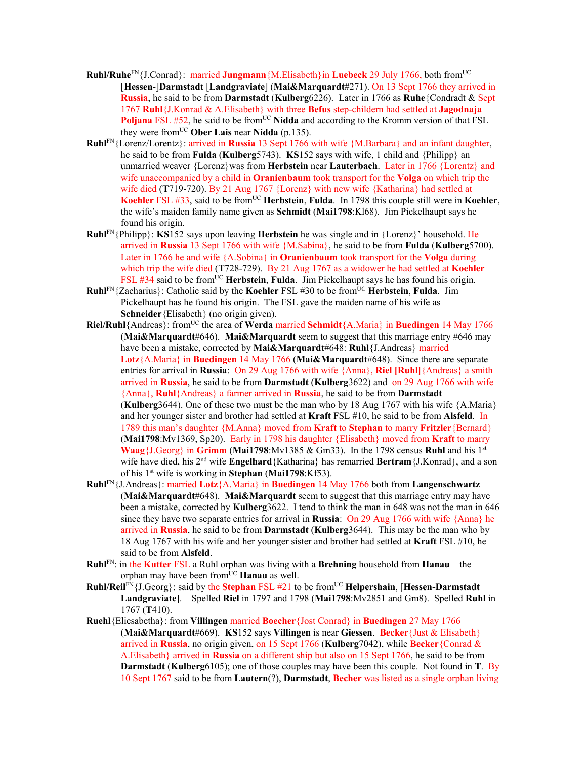- **Ruhl/Ruhe**FN{J.Conrad}: married **Jungmann**{M.Elisabeth}in **Luebeck** 29 July 1766, both fromUC [**Hessen**-]**Darmstadt** [**Landgraviate**] (**Mai&Marquardt**#271). On 13 Sept 1766 they arrived in **Russia**, he said to be from **Darmstadt** (**Kulberg**6226). Later in 1766 as **Ruhe**{Condradt & Sept 1767 **Ruhl**{J.Konrad & A.Elisabeth} with three **Befus** step-childern had settled at **Jagodnaja Poljana** FSL #52, he said to be from<sup>UC</sup> Nidda and according to the Kromm version of that FSL they were fromUC **Ober Lais** near **Nidda** (p.135).
- **Ruhl**FN{Lorenz/Lorentz}: arrived in **Russia** 13 Sept 1766 with wife {M.Barbara} and an infant daughter, he said to be from **Fulda** (**Kulberg**5743). **KS**152 says with wife, 1 child and {Philipp} an unmarried weaver {Lorenz}was from **Herbstein** near **Lauterbach**. Later in 1766 {Lorentz} and wife unaccompanied by a child in **Oranienbaum** took transport for the **Volga** on which trip the wife died (**T**719-720). By 21 Aug 1767 {Lorenz} with new wife {Katharina} had settled at **Koehler** FSL #33, said to be from<sup>UC</sup> **Herbstein**, **Fulda**. In 1798 this couple still were in **Koehler**, the wife's maiden family name given as **Schmidt** (**Mai1798**:Kl68). Jim Pickelhaupt says he found his origin.
- **Ruhl**FN{Philipp}: **KS**152 says upon leaving **Herbstein** he was single and in {Lorenz}' household. He arrived in **Russia** 13 Sept 1766 with wife {M.Sabina}, he said to be from **Fulda** (**Kulberg**5700). Later in 1766 he and wife {A.Sobina} in **Oranienbaum** took transport for the **Volga** during which trip the wife died (**T**728-729). By 21 Aug 1767 as a widower he had settled at **Koehler** FSL  $#34$  said to be from<sup>UC</sup> **Herbstein, Fulda**. Jim Pickelhaupt says he has found his origin.
- **Ruhl**<sup>FN</sup>{Zacharius}: Catholic said by the **Koehler** FSL #30 to be from<sup>UC</sup> **Herbstein, Fulda.** Jim Pickelhaupt has he found his origin. The FSL gave the maiden name of his wife as **Schneider**{Elisabeth} (no origin given).
- **Riel/Ruhl**{Andreas}: from<sup>UC</sup> the area of **Werda** married **Schmidt**{A.Maria} in **Buedingen** 14 May 1766 (**Mai&Marquardt**#646). **Mai&Marquardt** seem to suggest that this marriage entry #646 may have been a mistake, corrected by **Mai&Marquardt**#648: **Ruhl**{J.Andreas} married **Lotz**{A.Maria} in **Buedingen** 14 May 1766 (**Mai&Marquardt**#648). Since there are separate entries for arrival in **Russia**: On 29 Aug 1766 with wife {Anna}, **Riel [Ruhl]**{Andreas} a smith arrived in **Russia**, he said to be from **Darmstadt** (**Kulberg**3622) and on 29 Aug 1766 with wife {Anna}, **Ruhl**{Andreas} a farmer arrived in **Russia**, he said to be from **Darmstadt**  (**Kulberg**3644). One of these two must be the man who by 18 Aug 1767 with his wife {A.Maria} and her younger sister and brother had settled at **Kraft** FSL #10, he said to be from **Alsfeld**. In 1789 this man's daughter {M.Anna} moved from **Kraft** to **Stephan** to marry **Fritzler**{Bernard} (**Mai1798**:Mv1369, Sp20). Early in 1798 his daughter {Elisabeth} moved from **Kraft** to marry **Waag**{J.Georg} in **Grimm** (**Mai1798**:Mv1385 & Gm33). In the 1798 census **Ruhl** and his 1st wife have died, his 2nd wife **Engelhard**{Katharina} has remarried **Bertram**{J.Konrad}, and a son of his 1st wife is working in **Stephan** (**Mai1798**:Kf53).
- **Ruhl**FN{J.Andreas}: married **Lotz**{A.Maria} in **Buedingen** 14 May 1766 both from **Langenschwartz**  (**Mai&Marquardt**#648). **Mai&Marquardt** seem to suggest that this marriage entry may have been a mistake, corrected by **Kulberg**3622. I tend to think the man in 648 was not the man in 646 since they have two separate entries for arrival in **Russia**: On 29 Aug 1766 with wife {Anna} he arrived in **Russia**, he said to be from **Darmstadt** (**Kulberg**3644). This may be the man who by 18 Aug 1767 with his wife and her younger sister and brother had settled at **Kraft** FSL #10, he said to be from **Alsfeld**.
- **Ruhl**FN: in the **Kutter** FSL a Ruhl orphan was living with a **Brehning** household from **Hanau** the orphan may have been from<sup>UC</sup> **Hanau** as well.
- **Ruhl/Reil**FN{J.Georg}: said by the **Stephan** FSL #21 to be fromUC **Helpershain**, [**Hessen-Darmstadt Landgraviate**]. Spelled **Riel** in 1797 and 1798 (**Mai1798**:Mv2851 and Gm8). Spelled **Ruhl** in 1767 (**T**410).
- **Ruehl**{Eliesabetha}: from **Villingen** married **Boecher**{Jost Conrad} in **Buedingen** 27 May 1766 (**Mai&Marquardt**#669). **KS**152 says **Villingen** is near **Giessen**. **Becker**{Just & Elisabeth} arrived in **Russia**, no origin given, on 15 Sept 1766 (**Kulberg**7042), while **Becker**{Conrad & A.Elisabeth} arrived in **Russia** on a different ship but also on 15 Sept 1766, he said to be from **Darmstadt** (**Kulberg**6105); one of those couples may have been this couple. Not found in **T**. By 10 Sept 1767 said to be from **Lautern**(?), **Darmstadt**, **Becher** was listed as a single orphan living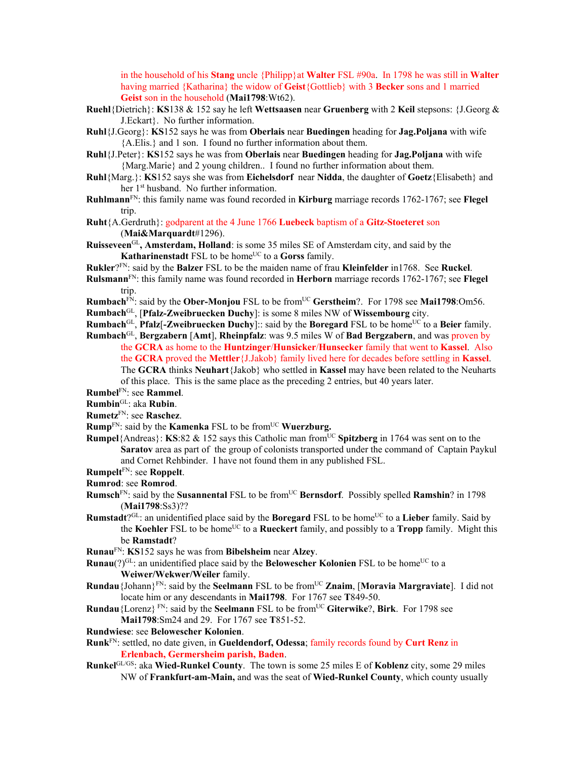in the household of his **Stang** uncle {Philipp}at **Walter** FSL #90a. In 1798 he was still in **Walter**  having married {Katharina} the widow of **Geist**{Gottlieb} with 3 **Becker** sons and 1 married **Geist** son in the household (**Mai1798**:Wt62).

- **Ruehl**{Dietrich}: **KS**138 & 152 say he left **Wettsaasen** near **Gruenberg** with 2 **Keil** stepsons: {J.Georg & J.Eckart}. No further information.
- **Ruhl**{J.Georg}: **KS**152 says he was from **Oberlais** near **Buedingen** heading for **Jag.Poljana** with wife {A.Elis.} and 1 son. I found no further information about them.
- **Ruhl**{J.Peter}: **KS**152 says he was from **Oberlais** near **Buedingen** heading for **Jag.Poljana** with wife {Marg.Marie} and 2 young children.. I found no further information about them.
- **Ruhl**{Marg.}: **KS**152 says she was from **Eichelsdorf** near **Nidda**, the daughter of **Goetz**{Elisabeth} and her 1<sup>st</sup> husband. No further information.
- **Ruhlmann**FN: this family name was found recorded in **Kirburg** marriage records 1762-1767; see **Flegel** trip.
- **Ruht**{A.Gerdruth}: godparent at the 4 June 1766 **Luebeck** baptism of a **Gitz-Stoeteret** son (**Mai&Marquardt**#1296).
- **Ruisseveen**GL**, Amsterdam, Holland**: is some 35 miles SE of Amsterdam city, and said by the **Katharinenstadt** FSL to be home<sup>UC</sup> to a Gorss family.
- **Rukler**?FN: said by the **Balzer** FSL to be the maiden name of frau **Kleinfelder** in1768. See **Ruckel**.
- **Rulsmann**FN: this family name was found recorded in **Herborn** marriage records 1762-1767; see **Flegel** trip.
- **Rumbach**FN: said by the **Ober-Monjou** FSL to be fromUC **Gerstheim**?. For 1798 see **Mai1798**:Om56.
- **Rumbach**GL, [**Pfalz-Zweibruecken Duchy**]: is some 8 miles NW of **Wissembourg** city.
- **Rumbach**<sup>GL</sup>, **Pfalz**[-**Zweibruecken Duchy**]:: said by the **Boregard** FSL to be home<sup>UC</sup> to a **Beier** family.
- **Rumbach**GL, **Bergzabern** [**Amt**], **Rheinpfalz**: was 9.5 miles W of **Bad Bergzabern**, and was proven by the **GCRA** as home to the **Huntzinger**/**Hunsicker**/**Hunsecker** family that went to **Kassel**. Also the **GCRA** proved the **Mettler**{J.Jakob} family lived here for decades before settling in **Kassel**. The **GCRA** thinks **Neuhart**{Jakob} who settled in **Kassel** may have been related to the Neuharts of this place. This is the same place as the preceding 2 entries, but 40 years later.

**Rumbel**FN: see **Rammel**.

**Rumbin**GL: aka **Rubin**.

- **Rumetz**FN: see **Raschez**.
- **Rump**<sup>FN</sup>: said by the **Kamenka** FSL to be from<sup>UC</sup> **Wuerzburg.**
- **Rumpel**{Andreas}: **KS**:82 & 152 says this Catholic man from<sup>UC</sup> Spitzberg in 1764 was sent on to the **Saratov** area as part of the group of colonists transported under the command of Captain Paykul and Cornet Rehbinder. I have not found them in any published FSL.

**Rumpelt**FN: see **Roppelt**.

**Rumrod**: see **Romrod**.

- **Rumsch**<sup>FN</sup>: said by the **Susannental** FSL to be from<sup>UC</sup> **Bernsdorf**. Possibly spelled **Ramshin**? in 1798 (**Mai1798**:Ss3)??
- **Rumstadt**?<sup>GL</sup>: an unidentified place said by the **Boregard** FSL to be home<sup>UC</sup> to a **Lieber** family. Said by the **Koehler** FSL to be home<sup>UC</sup> to a **Rueckert** family, and possibly to a **Tropp** family. Might this be **Ramstadt**?

**Runau**FN: **KS**152 says he was from **Bibelsheim** near **Alzey**.

- **Runau**(?)<sup>GL</sup>: an unidentified place said by the **Belowescher Kolonien** FSL to be home<sup>UC</sup> to a **Weiwer/Wekwer/Weiler** family.
- **Rundau**{Johann}FN: said by the **Seelmann** FSL to be fromUC **Znaim**, [**Moravia Margraviate**]. I did not locate him or any descendants in **Mai1798**. For 1767 see **T**849-50.
- **Rundau**{Lorenz}<sup>FN</sup>: said by the **Seelmann** FSL to be from<sup>UC</sup> Giterwike?, Birk. For 1798 see **Mai1798**:Sm24 and 29. For 1767 see **T**851-52.
- **Rundwiese**: see **Belowescher Kolonien**.
- **Runk**FN: settled, no date given, in **Gueldendorf, Odessa**; family records found by **Curt Renz** in **Erlenbach, Germersheim parish, Baden**.
- **Runkel**GL/GS: aka **Wied-Runkel County**. The town is some 25 miles E of **Koblenz** city, some 29 miles NW of **Frankfurt-am-Main,** and was the seat of **Wied-Runkel County**, which county usually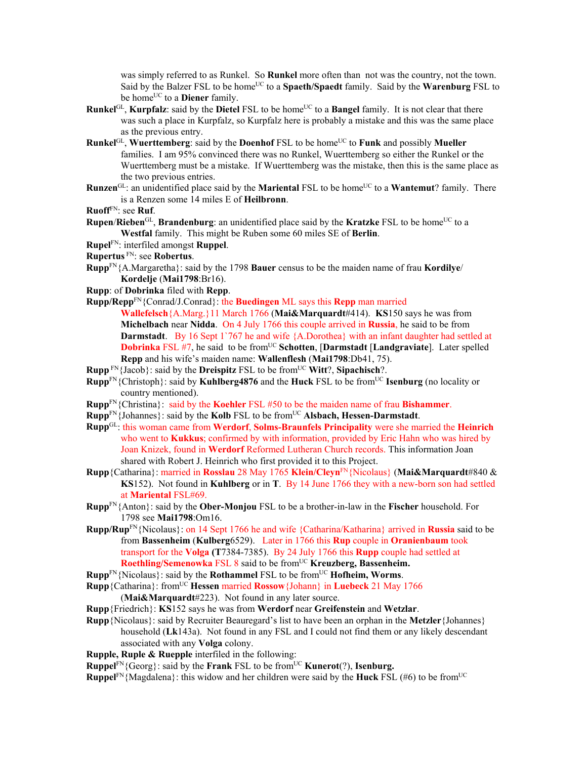was simply referred to as Runkel. So **Runkel** more often than not was the country, not the town. Said by the Balzer FSL to be home<sup>UC</sup> to a **Spaeth/Spaedt** family. Said by the **Warenburg** FSL to be home<sup>UC</sup> to a **Diener** family.

- **Runkel**<sup>GL</sup>, **Kurpfalz**: said by the **Dietel** FSL to be home<sup>UC</sup> to a **Bangel** family. It is not clear that there was such a place in Kurpfalz, so Kurpfalz here is probably a mistake and this was the same place as the previous entry.
- **Runkel**GL, **Wuerttemberg**: said by the **Doenhof** FSL to be homeUC to **Funk** and possibly **Mueller** families. I am 95% convinced there was no Runkel, Wuerttemberg so either the Runkel or the Wuerttemberg must be a mistake. If Wuerttemberg was the mistake, then this is the same place as the two previous entries.
- **Runzen**<sup>GL</sup>: an unidentified place said by the **Mariental** FSL to be home<sup>UC</sup> to a **Wantemut**? family. There is a Renzen some 14 miles E of **Heilbronn**.
- **Ruoff**FN: see **Ruf**.
- **Rupen/Rieben**<sup>GL</sup>, **Brandenburg**: an unidentified place said by the **Kratzke** FSL to be home<sup>UC</sup> to a **Westfal** family. This might be Ruben some 60 miles SE of **Berlin**.
- **Rupel**FN: interfiled amongst **Ruppel**.
- **Rupertus** FN: see **Robertus**.
- **Rupp**FN{A.Margaretha}: said by the 1798 **Bauer** census to be the maiden name of frau **Kordilye**/ **Kordelje** (**Mai1798**:Br16).
- **Rupp**: of **Dobrinka** filed with **Repp**.
- **Rupp/Repp**FN{Conrad/J.Conrad}: the **Buedingen** ML says this **Repp** man married
	- **Wallefelsch**{A.Marg.}11 March 1766 (**Mai&Marquardt**#414). **KS**150 says he was from **Michelbach** near **Nidda**. On 4 July 1766 this couple arrived in **Russia**, he said to be from **Darmstadt.** By 16 Sept 1'767 he and wife {A.Dorothea} with an infant daughter had settled at **Dobrinka** FSL #7, he said to be from<sup>UC</sup> Schotten, [Darmstadt [Landgraviate]. Later spelled **Repp** and his wife's maiden name: **Wallenflesh** (**Mai1798**:Db41, 75).
- **Rupp**<sup>FN{Jacob}: said by the **Dreispitz** FSL to be from<sup>UC</sup> **Witt**?, **Sipachisch**?.</sup>
- **Rupp**<sup>FN</sup>{Christoph}: said by **Kuhlberg4876** and the **Huck** FSL to be from<sup>UC</sup> **Isenburg** (no locality or country mentioned).
- **Rupp**FN{Christina}: said by the **Koehler** FSL #50 to be the maiden name of frau **Bishammer**.
- **Rupp**FN{Johannes}: said by the **Kolb** FSL to be fromUC **Alsbach, Hessen-Darmstadt**.
- **Rupp**GL: this woman came from **Werdorf**, **Solms-Braunfels Principality** were she married the **Heinrich** who went to **Kukkus**; confirmed by with information, provided by Eric Hahn who was hired by Joan Knizek, found in **Werdorf** Reformed Lutheran Church records. This information Joan shared with Robert J. Heinrich who first provided it to this Project.
- **Rupp**{Catharina}: married in **Rosslau** 28 May 1765 **Klein/Cleyn**FN{Nicolaus} (**Mai&Marquardt**#840 & **KS**152). Not found in **Kuhlberg** or in **T**. By 14 June 1766 they with a new-born son had settled at **Mariental** FSL#69.
- **Rupp**FN{Anton}: said by the **Ober-Monjou** FSL to be a brother-in-law in the **Fischer** household. For 1798 see **Mai1798**:Om16.
- **Rupp/Rup**FN{Nicolaus}: on 14 Sept 1766 he and wife {Catharina/Katharina} arrived in **Russia** said to be from **Bassenheim** (**Kulberg**6529). Later in 1766 this **Rup** couple in **Oranienbaum** took transport for the **Volga (T**7384-7385).By 24 July 1766 this **Rupp** couple had settled at **Roethling/Semenowka** FSL 8 said to be from<sup>UC</sup> **Kreuzberg**, Bassenheim.
- **Rupp**<sup>FN</sup>{Nicolaus}: said by the **Rothammel** FSL to be from<sup>UC</sup> **Hofheim, Worms**.
- **Rupp**{Catharina}: fromUC **Hessen** married **Rossow**{Johann} in **Luebeck** 21 May 1766 (**Mai&Marquardt**#223). Not found in any later source.
- **Rupp**{Friedrich}: **KS**152 says he was from **Werdorf** near **Greifenstein** and **Wetzlar**.
- **Rupp**{Nicolaus}: said by Recruiter Beauregard's list to have been an orphan in the **Metzler**{Johannes} household (**Lk**143a). Not found in any FSL and I could not find them or any likely descendant associated with any **Volga** colony.
- **Rupple, Ruple & Ruepple** interfiled in the following:
- **Ruppel<sup>FN</sup>**{Georg}: said by the **Frank** FSL to be from<sup>UC</sup> **Kunerot**(?), **Isenburg.**
- **Ruppel**<sup>FN</sup>{Magdalena}: this widow and her children were said by the **Huck** FSL (#6) to be from<sup>UC</sup>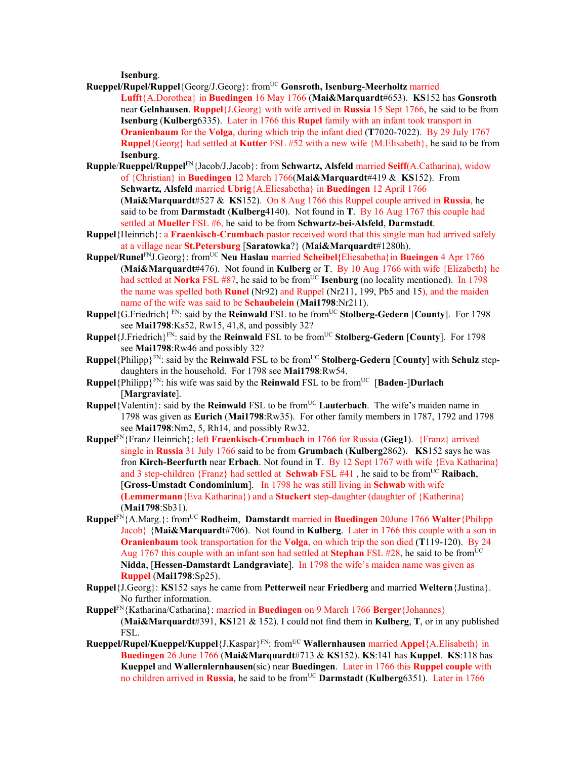**Isenburg**.

- **Rueppel/Rupel/Ruppel**{Georg/J.Georg}: fromUC **Gonsroth, Isenburg-Meerholtz** married **Lufft**{A.Dorothea} in **Buedingen** 16 May 1766 (**Mai&Marquardt**#653). **KS**152 has **Gonsroth**  near **Gelnhausen**. **Ruppel**{J.Georg} with wife arrived in **Russia** 15 Sept 1766, he said to be from **Isenburg** (**Kulberg**6335). Later in 1766 this **Rupel** family with an infant took transport in **Oranienbaum** for the **Volga**, during which trip the infant died (**T**7020-7022). By 29 July 1767 **Ruppel**{Georg} had settled at **Kutter** FSL #52 with a new wife {M.Elisabeth}, he said to be from **Isenburg**.
- **Rupple**/**Rueppel/Ruppel**FN{Jacob/J.Jacob}: from **Schwartz, Alsfeld** married **Seiff**(A.Catharina), widow of {Christian} in **Buedingen** 12 March 1766(**Mai&Marquardt**#419 & **KS**152). From **Schwartz, Alsfeld** married **Ubrig**{A.Eliesabetha} in **Buedingen** 12 April 1766 (**Mai&Marquardt**#527 & **KS**152). On 8 Aug 1766 this Ruppel couple arrived in **Russia**, he said to be from **Darmstadt** (**Kulberg**4140). Not found in **T**. By 16 Aug 1767 this couple had settled at **Mueller** FSL #6, he said to be from **Schwartz-bei-Alsfeld**, **Darmstadt**.
- **Ruppel**{Heinrich}: a **Fraenkisch-Crumbach** pastor received word that this single man had arrived safely at a village near **St.Petersburg** [**Saratowka**?} (**Mai&Marquardt**#1280h).
- **Ruppel/Runel**FNJ.Georg}: fromUC **Neu Haslau** married **Scheibel{**Eliesabetha}in **Bueingen** 4 Apr 1766 (**Mai&Marquardt**#476). Not found in **Kulberg** or **T**. By 10 Aug 1766 with wife {Elizabeth} he had settled at **Norka** FSL #87, he said to be from<sup>UC</sup> **Isenburg** (no locality mentioned). In 1798 the name was spelled both **Runel** (Nr92) and Ruppel (Nr211, 199, Pb5 and 15), and the maiden name of the wife was said to be **Schaubelein** (**Mai1798**:Nr211).
- **Ruppel**{G.Friedrich}<sup>FN</sup>: said by the **Reinwald** FSL to be from<sup>UC</sup> **Stolberg-Gedern** [County]. For 1798 see **Mai1798**:Ks52, Rw15, 41,8, and possibly 32?
- **Ruppel**{J.Friedrich}<sup>FN</sup>: said by the **Reinwald** FSL to be from<sup>UC</sup> **Stolberg-Gedern** [County]. For 1798 see **Mai1798**:Rw46 and possibly 32?
- **Ruppel**{Philipp} $F^N$ : said by the **Reinwald** FSL to be from<sup>UC</sup> **Stolberg-Gedern** [**County**] with **Schulz** stepdaughters in the household. For 1798 see **Mai1798**:Rw54.
- **Ruppel**{Philipp}<sup>FN</sup>: his wife was said by the **Reinwald** FSL to be from<sup>UC</sup> [**Baden-**]Durlach [**Margraviate**].
- **Ruppel**{Valentin}: said by the **Reinwald** FSL to be from<sup>UC</sup> **Lauterbach**. The wife's maiden name in 1798 was given as **Eurich** (**Mai1798**:Rw35). For other family members in 1787, 1792 and 1798 see **Mai1798**:Nm2, 5, Rh14, and possibly Rw32.
- **Ruppel**FN{Franz Heinrich}: left **Fraenkisch-Crumbach** in 1766 for Russia (**Gieg1**). {Franz} arrived single in **Russia** 31 July 1766 said to be from **Grumbach** (**Kulberg**2862). **KS**152 says he was fron **Kirch-Beerfurth** near **Erbach**. Not found in **T**. By 12 Sept 1767 with wife {Eva Katharina} and 3 step-children {Franz} had settled at **Schwab** FSL #41 , he said to be fromUC **Raibach**, [**Gross-Umstadt Condominium**]. In 1798 he was still living in **Schwab** with wife **(Lemmermann**{Eva Katharina}) and a **Stuckert** step-daughter (daughter of {Katherina} (**Mai1798**:Sb31).
- **Ruppel**FN{A.Marg.}: fromUC **Rodheim**, **Damstardt** married in **Buedingen** 20June 1766 **Walter**{Philipp Jacob} {**Mai&Marquardt**#706). Not found in **Kulberg**. Later in 1766 this couple with a son in **Oranienbaum** took transportation for the **Volga**, on which trip the son died (**T**119-120). By 24 Aug 1767 this couple with an infant son had settled at **Stephan** FSL #28, he said to be from<sup>UC</sup> **Nidda**, [**Hessen-Damstardt Landgraviate**]. In 1798 the wife's maiden name was given as **Ruppel** (**Mai1798**:Sp25).
- **Ruppel**{J.Georg}: **KS**152 says he came from **Petterweil** near **Friedberg** and married **Weltern**{Justina}. No further information.
- **Ruppel**FN{Katharina/Catharina}: married in **Buedingen** on 9 March 1766 **Berger**{Johannes} (**Mai&Marquardt**#391, **KS**121 & 152). I could not find them in **Kulberg**, **T**, or in any published FSL.
- **Rueppel/Rupel/Kueppel/Kuppel**{J.Kaspar}FN: fromUC **Wallernhausen** married **Appel**{A.Elisabeth} in **Buedingen** 26 June 1766 (**Mai&Marquardt**#713 & **KS**152). **KS**:141 has **Kuppel**. **KS**:118 has **Kueppel** and **Wallernlernhausen**(sic) near **Buedingen**. Later in 1766 this **Ruppel couple** with no children arrived in **Russia**, he said to be fromUC **Darmstadt** (**Kulberg**6351). Later in 1766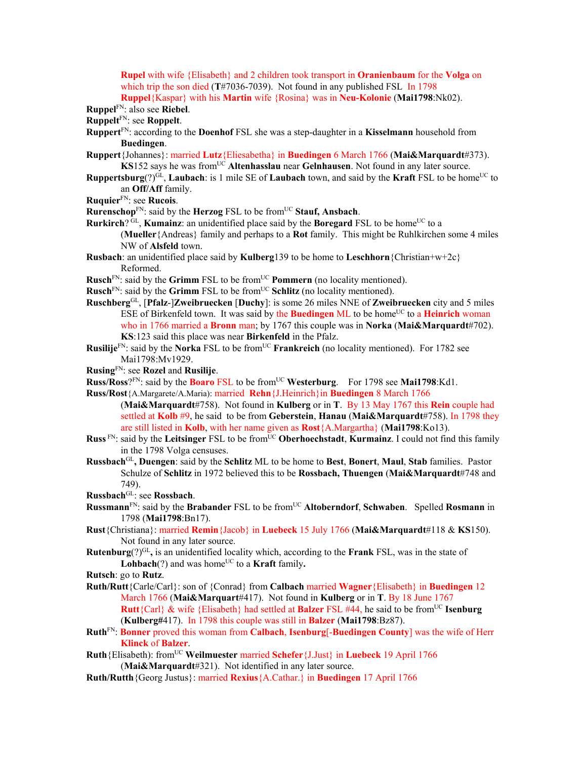**Rupel** with wife {Elisabeth} and 2 children took transport in **Oranienbaum** for the **Volga** on which trip the son died (**T**#7036-7039). Not found in any published FSL In 1798 **Ruppel**{Kaspar} with his **Martin** wife {Rosina} was in **Neu-Kolonie** (**Mai1798**:Nk02).

**Ruppel**FN: also see **Riebel**.

**Ruppelt**FN: see **Roppelt**.

- **Ruppert**FN: according to the **Doenhof** FSL she was a step-daughter in a **Kisselmann** household from **Buedingen**.
- **Ruppert**{Johannes}: married **Lutz**{Eliesabetha} in **Buedingen** 6 March 1766 (**Mai&Marquardt**#373). **KS**152 says he was from<sup>UC</sup> Altenhasslau near Gelnhausen. Not found in any later source.
- **Ruppertsburg**(?) $G<sup>LI</sup>$ , **Laubach**: is 1 mile SE of **Laubach** town, and said by the **Kraft** FSL to be home<sup>UC</sup> to an **Off/Aff** family.
- **Ruquier**FN: see **Rucois**.

**Rurenschop**<sup>FN</sup>: said by the **Herzog** FSL to be from<sup>UC</sup> Stauf, Ansbach.

- **Rurkirch**? GL, **Kumainz**: an unidentified place said by the **Boregard** FSL to be home<sup>UC</sup> to a (**Mueller**{Andreas} family and perhaps to a **Rot** family. This might be Ruhlkirchen some 4 miles NW of **Alsfeld** town.
- **Rusbach**: an unidentified place said by **Kulberg**139 to be home to **Leschhorn**{Christian+w+2c} Reformed.
- **Rusch**FN: said by the **Grimm** FSL to be fromUC **Pommern** (no locality mentioned).
- **Rusch**<sup>FN</sup>: said by the **Grimm** FSL to be from<sup>UC</sup> **Schlitz** (no locality mentioned).
- **Ruschberg**GL, [**Pfalz**-]**Zweibruecken** [**Duchy**]: is some 26 miles NNE of **Zweibruecken** city and 5 miles ESE of Birkenfeld town. It was said by the **Buedingen** ML to be home<sup>UC</sup> to a **Heinrich** woman who in 1766 married a **Bronn** man; by 1767 this couple was in **Norka** (**Mai&Marquardt**#702). **KS**:123 said this place was near **Birkenfeld** in the Pfalz.
- **Rusilije**<sup>FN</sup>: said by the **Norka** FSL to be from<sup>UC</sup> **Frankreich** (no locality mentioned). For 1782 see Mai1798:Mv1929.

**Rusing**FN: see **Rozel** and **Rusilije**.

**Russ/Ross**?FN: said by the **Boaro** FSL to be fromUC **Westerburg**. For 1798 see **Mai1798**:Kd1.

- **Russ/Rost**{A.Margarete/A.Maria): married **Rehn**{J.Heinrich}in **Buedingen** 8 March 1766
- (**Mai&Marquardt**#758). Not found in **Kulberg** or in **T**. By 13 May 1767 this **Rein** couple had settled at **Kolb** #9, he said to be from **Geberstein**, **Hanau** (**Mai&Marquardt**#758). In 1798 they are still listed in **Kolb**, with her name given as **Rost**{A.Margartha} (**Mai1798**:Ko13).
- **Russ** FN: said by the Leitsinger FSL to be from<sup>UC</sup> Oberhoechstadt, **Kurmainz**. I could not find this family in the 1798 Volga censuses.
- **Russbach**GL**, Duengen**: said by the **Schlitz** ML to be home to **Best**, **Bonert**, **Maul**, **Stab** families. Pastor Schulze of **Schlitz** in 1972 believed this to be **Rossbach, Thuengen** (**Mai&Marquardt**#748 and 749).
- **Russbach**GL: see **Rossbach**.
- **Russmann**<sup>FN</sup>: said by the **Brabander** FSL to be from<sup>UC</sup> Altoberndorf, Schwaben. Spelled Rosmann in 1798 (**Mai1798**:Bn17).
- **Rust**{Christiana}: married **Remin**{Jacob} in **Luebeck** 15 July 1766 (**Mai&Marquardt**#118 & **KS**150). Not found in any later source.
- **Rutenburg**(?)<sup>GL</sup>, is an unidentified locality which, according to the **Frank** FSL, was in the state of **Lohbach** $(?)$  and was home<sup>UC</sup> to a **Kraft** family.
- **Rutsch**: go to **Rutz**.
- **Ruth/Rutt**{Carle/Carl}: son of {Conrad} from **Calbach** married **Wagner**{Elisabeth} in **Buedingen** 12 March 1766 (**Mai&Marquart**#417). Not found in **Kulberg** or in **T**. By 18 June 1767 **Rutt**{Carl} & wife {Elisabeth} had settled at **Balzer** FSL #44, he said to be fromUC **Isenburg** (**Kulberg#**417). In 1798 this couple was still in **Balzer** (**Mai1798**:Bz87).
- **Ruth**FN: **Bonner** proved this woman from **Calbach**, **Isenburg**[-**Buedingen County**] was the wife of Herr **Klinck** of **Balzer**.
- **Ruth**{Elisabeth): fromUC **Weilmuester** married **Schefer**{J.Just} in **Luebeck** 19 April 1766 (**Mai&Marquardt**#321). Not identified in any later source.
- **Ruth/Rutth**{Georg Justus}: married **Rexius**{A.Cathar.} in **Buedingen** 17 April 1766